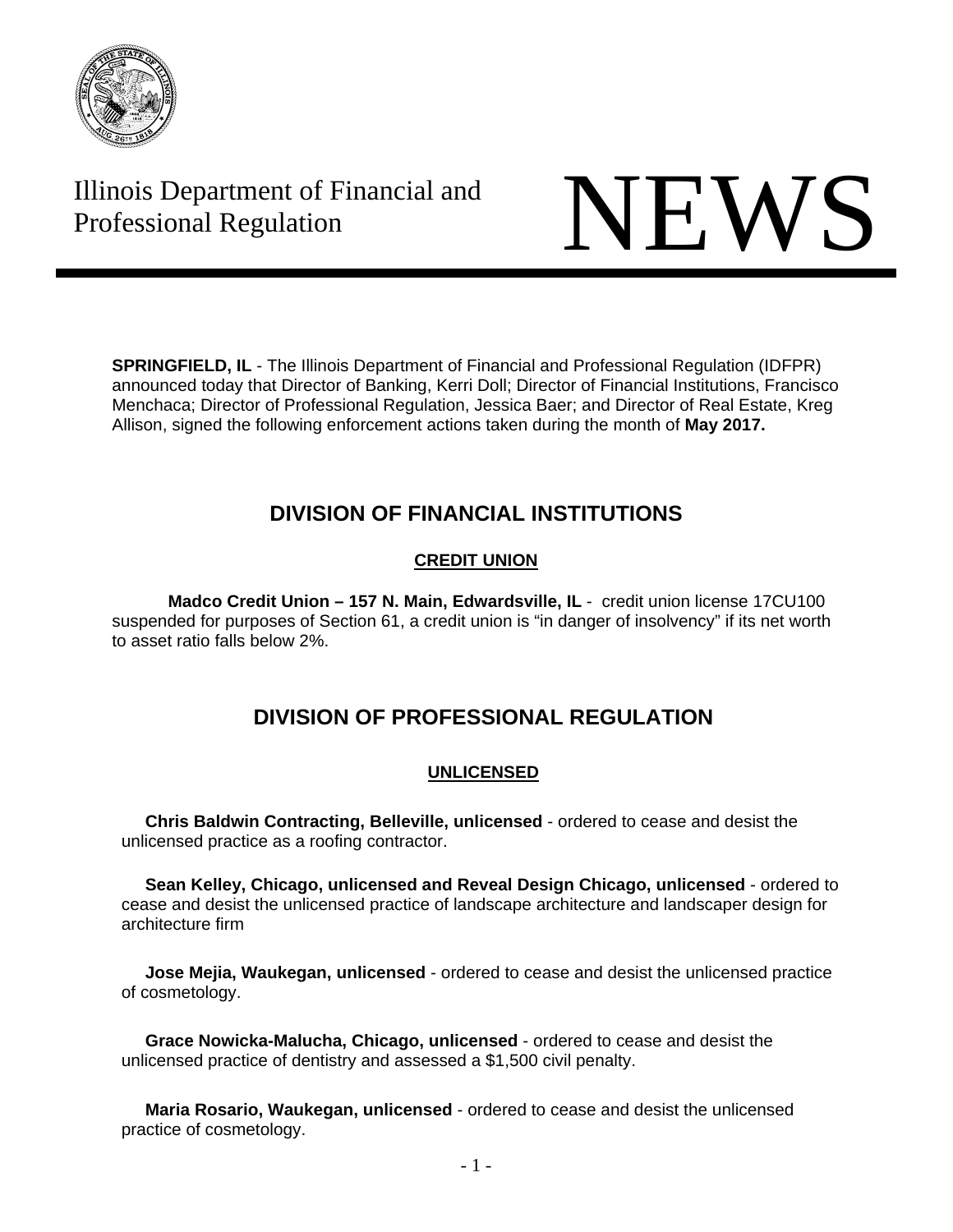

# Illinois Department of Financial and Illinois Department of Financial and<br>Professional Regulation



**SPRINGFIELD, IL** - The Illinois Department of Financial and Professional Regulation (IDFPR) announced today that Director of Banking, Kerri Doll; Director of Financial Institutions, Francisco Menchaca; Director of Professional Regulation, Jessica Baer; and Director of Real Estate, Kreg Allison, signed the following enforcement actions taken during the month of **May 2017.** 

## **DIVISION OF FINANCIAL INSTITUTIONS**

## **CREDIT UNION**

**Madco Credit Union – 157 N. Main, Edwardsville, IL** - credit union license 17CU100 suspended for purposes of Section 61, a credit union is "in danger of insolvency" if its net worth to asset ratio falls below 2%.

## **DIVISION OF PROFESSIONAL REGULATION**

## **UNLICENSED**

 **Chris Baldwin Contracting, Belleville, unlicensed** - ordered to cease and desist the unlicensed practice as a roofing contractor.

 **Sean Kelley, Chicago, unlicensed and Reveal Design Chicago, unlicensed** - ordered to cease and desist the unlicensed practice of landscape architecture and landscaper design for architecture firm

 **Jose Mejia, Waukegan, unlicensed** - ordered to cease and desist the unlicensed practice of cosmetology.

 **Grace Nowicka-Malucha, Chicago, unlicensed** - ordered to cease and desist the unlicensed practice of dentistry and assessed a \$1,500 civil penalty.

 **Maria Rosario, Waukegan, unlicensed** - ordered to cease and desist the unlicensed practice of cosmetology.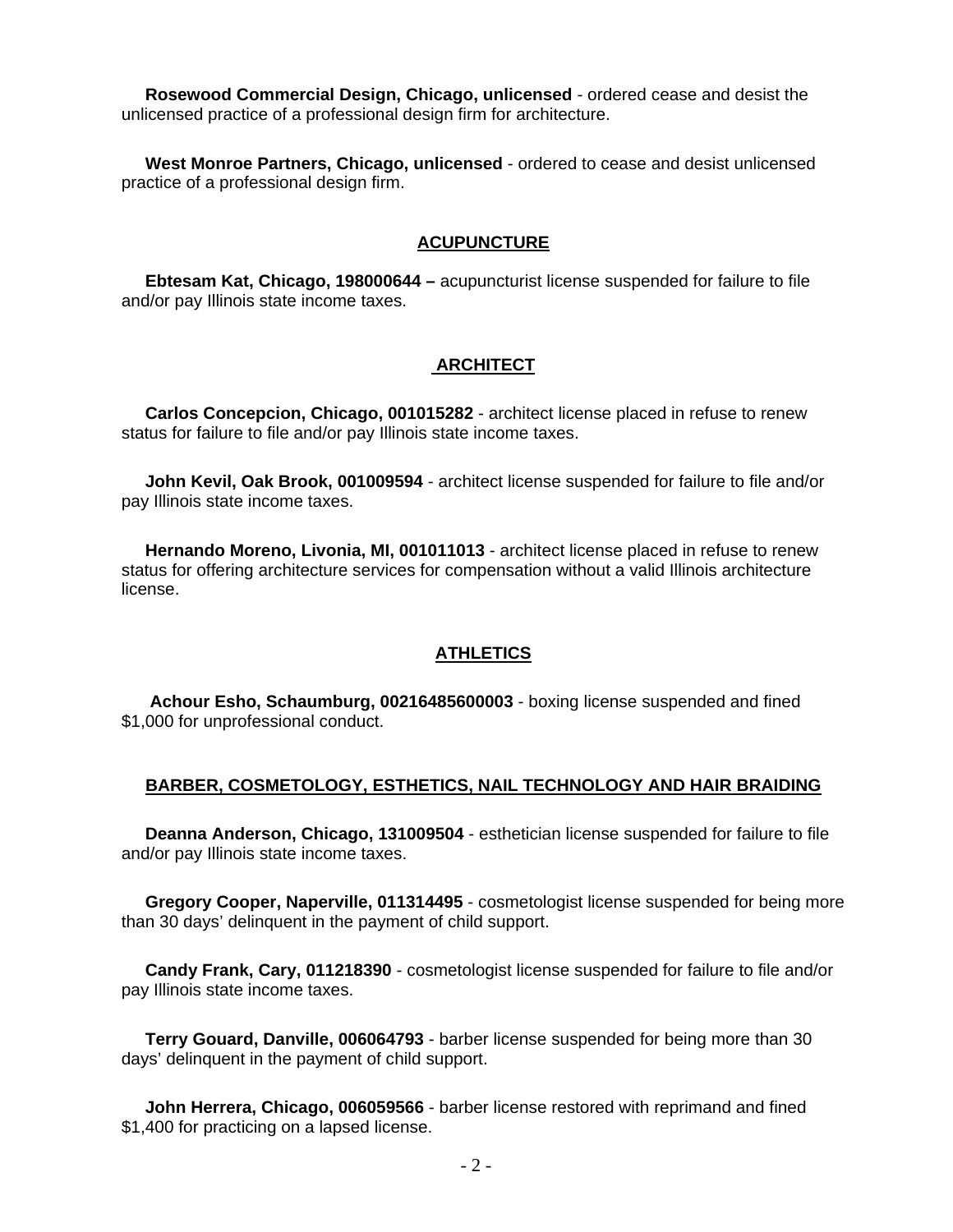**Rosewood Commercial Design, Chicago, unlicensed** - ordered cease and desist the unlicensed practice of a professional design firm for architecture.

 **West Monroe Partners, Chicago, unlicensed** - ordered to cease and desist unlicensed practice of a professional design firm.

## **ACUPUNCTURE**

 **Ebtesam Kat, Chicago, 198000644 –** acupuncturist license suspended for failure to file and/or pay Illinois state income taxes.

#### **ARCHITECT**

 **Carlos Concepcion, Chicago, 001015282** - architect license placed in refuse to renew status for failure to file and/or pay Illinois state income taxes.

 **John Kevil, Oak Brook, 001009594** - architect license suspended for failure to file and/or pay Illinois state income taxes.

 **Hernando Moreno, Livonia, MI, 001011013** - architect license placed in refuse to renew status for offering architecture services for compensation without a valid Illinois architecture license.

#### **ATHLETICS**

 **Achour Esho, Schaumburg, 00216485600003** - boxing license suspended and fined \$1,000 for unprofessional conduct.

#### **BARBER, COSMETOLOGY, ESTHETICS, NAIL TECHNOLOGY AND HAIR BRAIDING**

 **Deanna Anderson, Chicago, 131009504** - esthetician license suspended for failure to file and/or pay Illinois state income taxes.

 **Gregory Cooper, Naperville, 011314495** - cosmetologist license suspended for being more than 30 days' delinquent in the payment of child support.

 **Candy Frank, Cary, 011218390** - cosmetologist license suspended for failure to file and/or pay Illinois state income taxes.

 **Terry Gouard, Danville, 006064793** - barber license suspended for being more than 30 days' delinquent in the payment of child support.

 **John Herrera, Chicago, 006059566** - barber license restored with reprimand and fined \$1,400 for practicing on a lapsed license.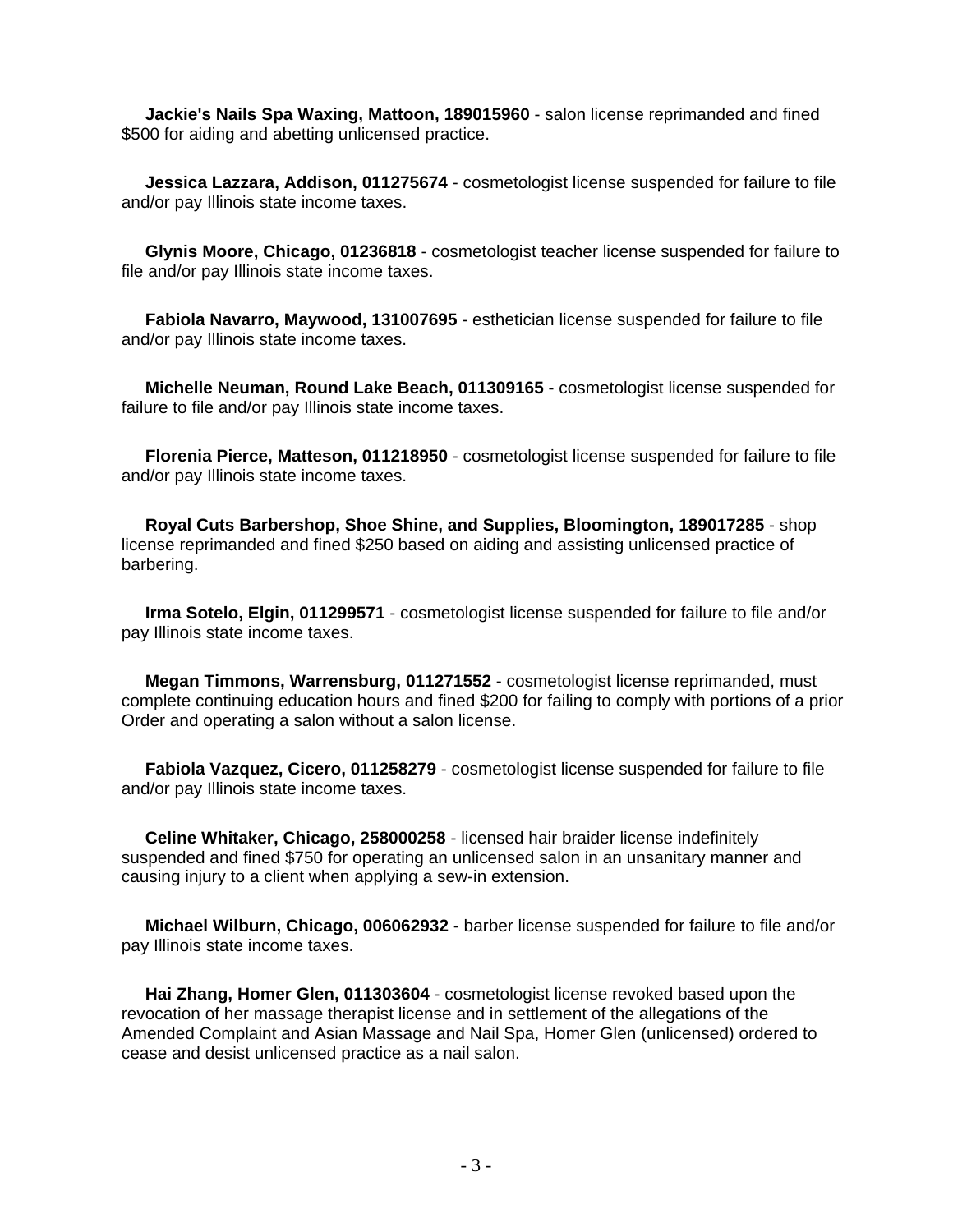**Jackie's Nails Spa Waxing, Mattoon, 189015960** - salon license reprimanded and fined \$500 for aiding and abetting unlicensed practice.

 **Jessica Lazzara, Addison, 011275674** - cosmetologist license suspended for failure to file and/or pay Illinois state income taxes.

 **Glynis Moore, Chicago, 01236818** - cosmetologist teacher license suspended for failure to file and/or pay Illinois state income taxes.

 **Fabiola Navarro, Maywood, 131007695** - esthetician license suspended for failure to file and/or pay Illinois state income taxes.

 **Michelle Neuman, Round Lake Beach, 011309165** - cosmetologist license suspended for failure to file and/or pay Illinois state income taxes.

 **Florenia Pierce, Matteson, 011218950** - cosmetologist license suspended for failure to file and/or pay Illinois state income taxes.

 **Royal Cuts Barbershop, Shoe Shine, and Supplies, Bloomington, 189017285** - shop license reprimanded and fined \$250 based on aiding and assisting unlicensed practice of barbering.

 **Irma Sotelo, Elgin, 011299571** - cosmetologist license suspended for failure to file and/or pay Illinois state income taxes.

 **Megan Timmons, Warrensburg, 011271552** - cosmetologist license reprimanded, must complete continuing education hours and fined \$200 for failing to comply with portions of a prior Order and operating a salon without a salon license.

 **Fabiola Vazquez, Cicero, 011258279** - cosmetologist license suspended for failure to file and/or pay Illinois state income taxes.

 **Celine Whitaker, Chicago, 258000258** - licensed hair braider license indefinitely suspended and fined \$750 for operating an unlicensed salon in an unsanitary manner and causing injury to a client when applying a sew-in extension.

 **Michael Wilburn, Chicago, 006062932** - barber license suspended for failure to file and/or pay Illinois state income taxes.

 **Hai Zhang, Homer Glen, 011303604** - cosmetologist license revoked based upon the revocation of her massage therapist license and in settlement of the allegations of the Amended Complaint and Asian Massage and Nail Spa, Homer Glen (unlicensed) ordered to cease and desist unlicensed practice as a nail salon.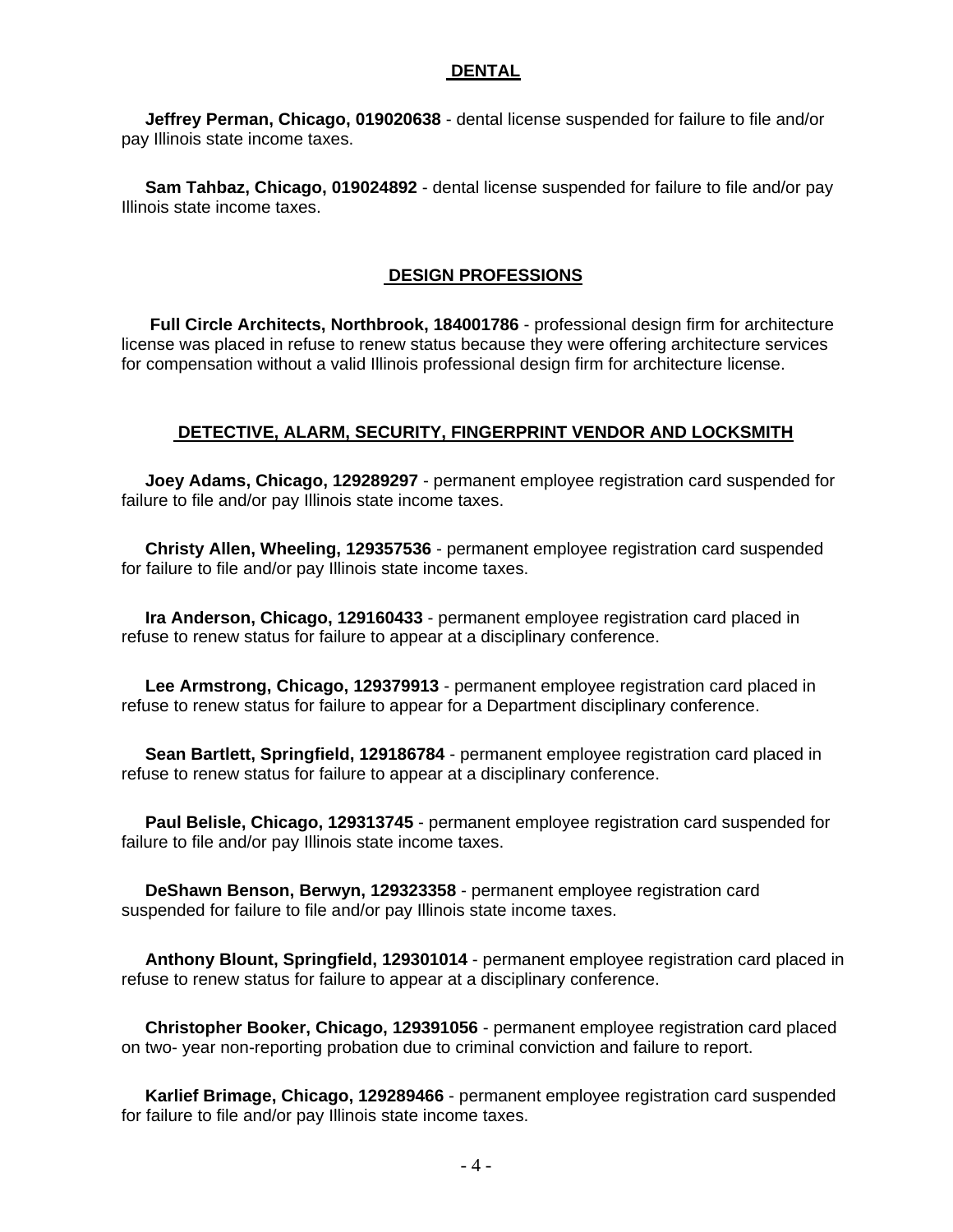## **DENTAL**

 **Jeffrey Perman, Chicago, 019020638** - dental license suspended for failure to file and/or pay Illinois state income taxes.

 **Sam Tahbaz, Chicago, 019024892** - dental license suspended for failure to file and/or pay Illinois state income taxes.

## **DESIGN PROFESSIONS**

 **Full Circle Architects, Northbrook, 184001786** - professional design firm for architecture license was placed in refuse to renew status because they were offering architecture services for compensation without a valid Illinois professional design firm for architecture license.

#### **DETECTIVE, ALARM, SECURITY, FINGERPRINT VENDOR AND LOCKSMITH**

 **Joey Adams, Chicago, 129289297** - permanent employee registration card suspended for failure to file and/or pay Illinois state income taxes.

 **Christy Allen, Wheeling, 129357536** - permanent employee registration card suspended for failure to file and/or pay Illinois state income taxes.

 **Ira Anderson, Chicago, 129160433** - permanent employee registration card placed in refuse to renew status for failure to appear at a disciplinary conference.

 **Lee Armstrong, Chicago, 129379913** - permanent employee registration card placed in refuse to renew status for failure to appear for a Department disciplinary conference.

 **Sean Bartlett, Springfield, 129186784** - permanent employee registration card placed in refuse to renew status for failure to appear at a disciplinary conference.

 **Paul Belisle, Chicago, 129313745** - permanent employee registration card suspended for failure to file and/or pay Illinois state income taxes.

 **DeShawn Benson, Berwyn, 129323358** - permanent employee registration card suspended for failure to file and/or pay Illinois state income taxes.

 **Anthony Blount, Springfield, 129301014** - permanent employee registration card placed in refuse to renew status for failure to appear at a disciplinary conference.

 **Christopher Booker, Chicago, 129391056** - permanent employee registration card placed on two- year non-reporting probation due to criminal conviction and failure to report.

 **Karlief Brimage, Chicago, 129289466** - permanent employee registration card suspended for failure to file and/or pay Illinois state income taxes.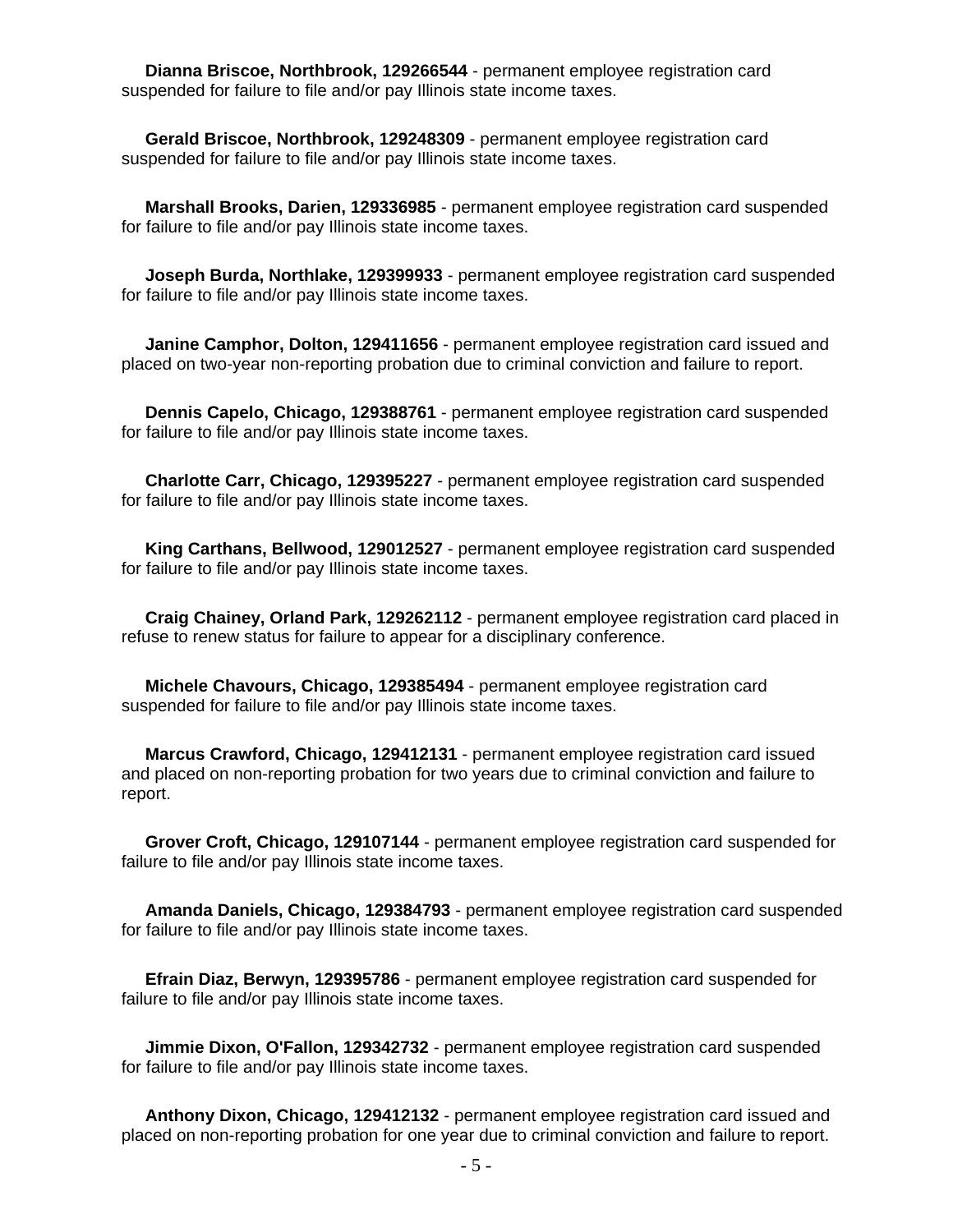**Dianna Briscoe, Northbrook, 129266544** - permanent employee registration card suspended for failure to file and/or pay Illinois state income taxes.

 **Gerald Briscoe, Northbrook, 129248309** - permanent employee registration card suspended for failure to file and/or pay Illinois state income taxes.

 **Marshall Brooks, Darien, 129336985** - permanent employee registration card suspended for failure to file and/or pay Illinois state income taxes.

 **Joseph Burda, Northlake, 129399933** - permanent employee registration card suspended for failure to file and/or pay Illinois state income taxes.

 **Janine Camphor, Dolton, 129411656** - permanent employee registration card issued and placed on two-year non-reporting probation due to criminal conviction and failure to report.

 **Dennis Capelo, Chicago, 129388761** - permanent employee registration card suspended for failure to file and/or pay Illinois state income taxes.

 **Charlotte Carr, Chicago, 129395227** - permanent employee registration card suspended for failure to file and/or pay Illinois state income taxes.

 **King Carthans, Bellwood, 129012527** - permanent employee registration card suspended for failure to file and/or pay Illinois state income taxes.

 **Craig Chainey, Orland Park, 129262112** - permanent employee registration card placed in refuse to renew status for failure to appear for a disciplinary conference.

 **Michele Chavours, Chicago, 129385494** - permanent employee registration card suspended for failure to file and/or pay Illinois state income taxes.

 **Marcus Crawford, Chicago, 129412131** - permanent employee registration card issued and placed on non-reporting probation for two years due to criminal conviction and failure to report.

 **Grover Croft, Chicago, 129107144** - permanent employee registration card suspended for failure to file and/or pay Illinois state income taxes.

 **Amanda Daniels, Chicago, 129384793** - permanent employee registration card suspended for failure to file and/or pay Illinois state income taxes.

 **Efrain Diaz, Berwyn, 129395786** - permanent employee registration card suspended for failure to file and/or pay Illinois state income taxes.

 **Jimmie Dixon, O'Fallon, 129342732** - permanent employee registration card suspended for failure to file and/or pay Illinois state income taxes.

 **Anthony Dixon, Chicago, 129412132** - permanent employee registration card issued and placed on non-reporting probation for one year due to criminal conviction and failure to report.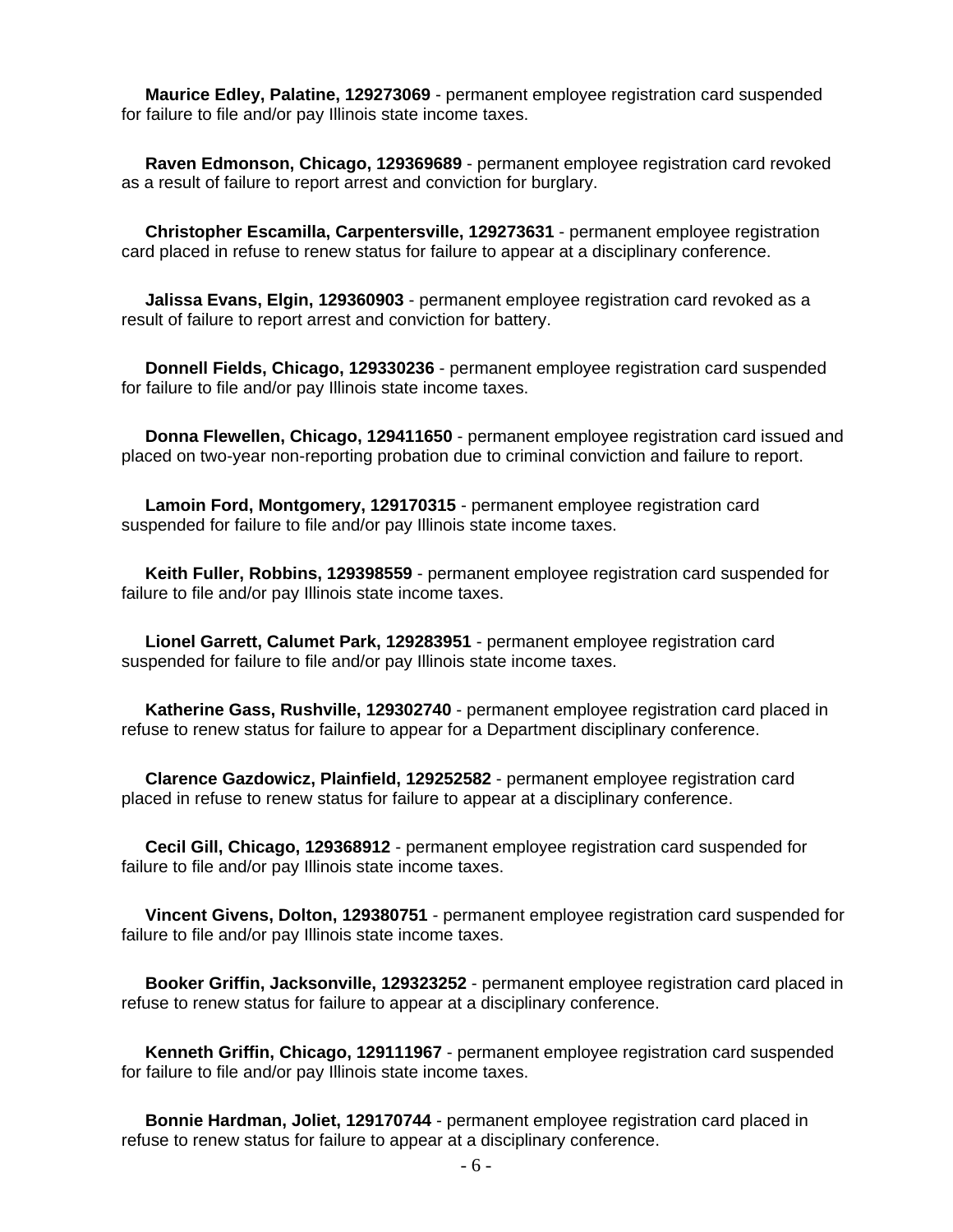**Maurice Edley, Palatine, 129273069** - permanent employee registration card suspended for failure to file and/or pay Illinois state income taxes.

 **Raven Edmonson, Chicago, 129369689** - permanent employee registration card revoked as a result of failure to report arrest and conviction for burglary.

 **Christopher Escamilla, Carpentersville, 129273631** - permanent employee registration card placed in refuse to renew status for failure to appear at a disciplinary conference.

 **Jalissa Evans, Elgin, 129360903** - permanent employee registration card revoked as a result of failure to report arrest and conviction for battery.

 **Donnell Fields, Chicago, 129330236** - permanent employee registration card suspended for failure to file and/or pay Illinois state income taxes.

 **Donna Flewellen, Chicago, 129411650** - permanent employee registration card issued and placed on two-year non-reporting probation due to criminal conviction and failure to report.

 **Lamoin Ford, Montgomery, 129170315** - permanent employee registration card suspended for failure to file and/or pay Illinois state income taxes.

 **Keith Fuller, Robbins, 129398559** - permanent employee registration card suspended for failure to file and/or pay Illinois state income taxes.

 **Lionel Garrett, Calumet Park, 129283951** - permanent employee registration card suspended for failure to file and/or pay Illinois state income taxes.

 **Katherine Gass, Rushville, 129302740** - permanent employee registration card placed in refuse to renew status for failure to appear for a Department disciplinary conference.

 **Clarence Gazdowicz, Plainfield, 129252582** - permanent employee registration card placed in refuse to renew status for failure to appear at a disciplinary conference.

 **Cecil Gill, Chicago, 129368912** - permanent employee registration card suspended for failure to file and/or pay Illinois state income taxes.

 **Vincent Givens, Dolton, 129380751** - permanent employee registration card suspended for failure to file and/or pay Illinois state income taxes.

 **Booker Griffin, Jacksonville, 129323252** - permanent employee registration card placed in refuse to renew status for failure to appear at a disciplinary conference.

 **Kenneth Griffin, Chicago, 129111967** - permanent employee registration card suspended for failure to file and/or pay Illinois state income taxes.

 **Bonnie Hardman, Joliet, 129170744** - permanent employee registration card placed in refuse to renew status for failure to appear at a disciplinary conference.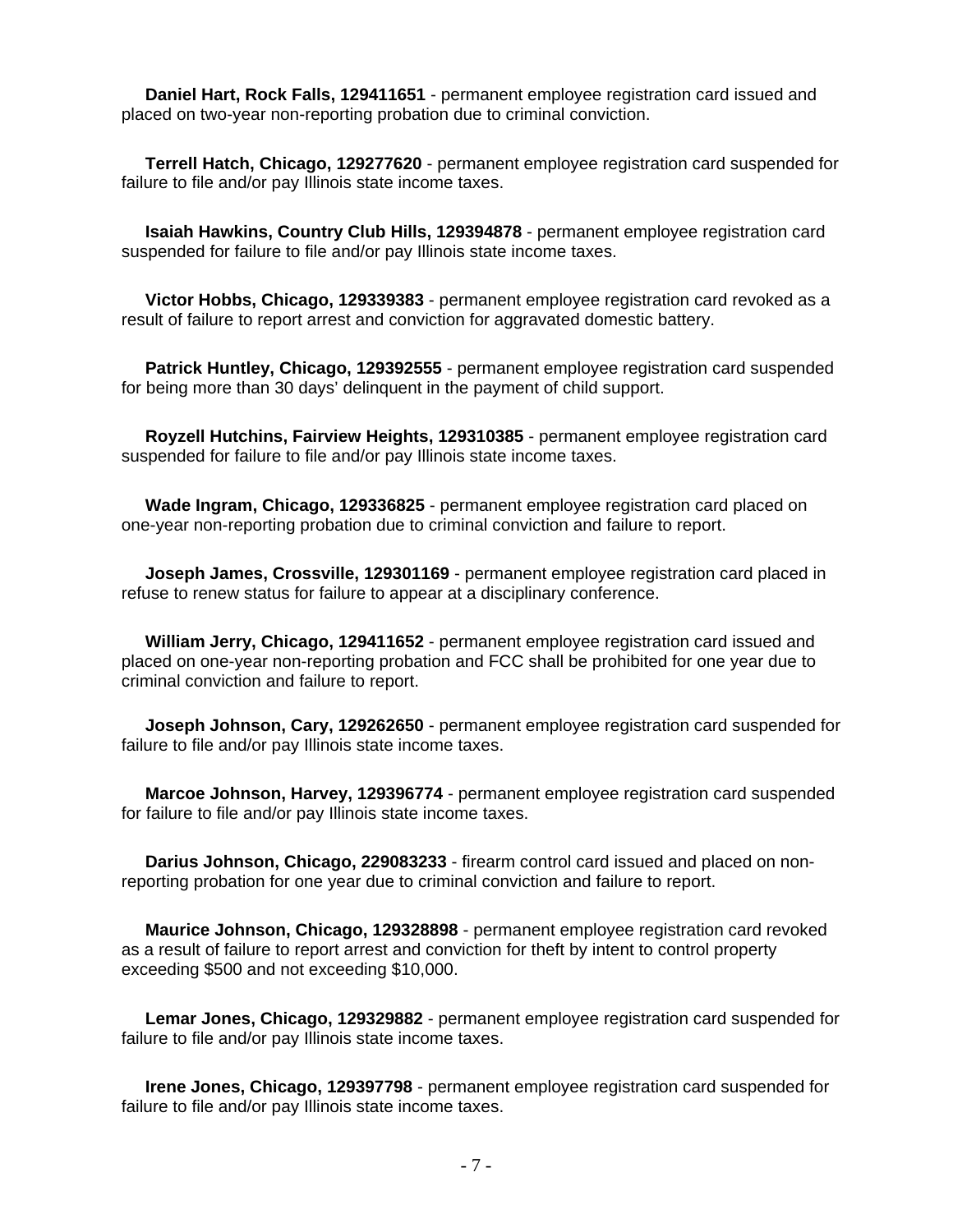**Daniel Hart, Rock Falls, 129411651** - permanent employee registration card issued and placed on two-year non-reporting probation due to criminal conviction.

 **Terrell Hatch, Chicago, 129277620** - permanent employee registration card suspended for failure to file and/or pay Illinois state income taxes.

 **Isaiah Hawkins, Country Club Hills, 129394878** - permanent employee registration card suspended for failure to file and/or pay Illinois state income taxes.

 **Victor Hobbs, Chicago, 129339383** - permanent employee registration card revoked as a result of failure to report arrest and conviction for aggravated domestic battery.

 **Patrick Huntley, Chicago, 129392555** - permanent employee registration card suspended for being more than 30 days' delinquent in the payment of child support.

 **Royzell Hutchins, Fairview Heights, 129310385** - permanent employee registration card suspended for failure to file and/or pay Illinois state income taxes.

 **Wade Ingram, Chicago, 129336825** - permanent employee registration card placed on one-year non-reporting probation due to criminal conviction and failure to report.

 **Joseph James, Crossville, 129301169** - permanent employee registration card placed in refuse to renew status for failure to appear at a disciplinary conference.

 **William Jerry, Chicago, 129411652** - permanent employee registration card issued and placed on one-year non-reporting probation and FCC shall be prohibited for one year due to criminal conviction and failure to report.

 **Joseph Johnson, Cary, 129262650** - permanent employee registration card suspended for failure to file and/or pay Illinois state income taxes.

 **Marcoe Johnson, Harvey, 129396774** - permanent employee registration card suspended for failure to file and/or pay Illinois state income taxes.

 **Darius Johnson, Chicago, 229083233** - firearm control card issued and placed on nonreporting probation for one year due to criminal conviction and failure to report.

 **Maurice Johnson, Chicago, 129328898** - permanent employee registration card revoked as a result of failure to report arrest and conviction for theft by intent to control property exceeding \$500 and not exceeding \$10,000.

 **Lemar Jones, Chicago, 129329882** - permanent employee registration card suspended for failure to file and/or pay Illinois state income taxes.

 **Irene Jones, Chicago, 129397798** - permanent employee registration card suspended for failure to file and/or pay Illinois state income taxes.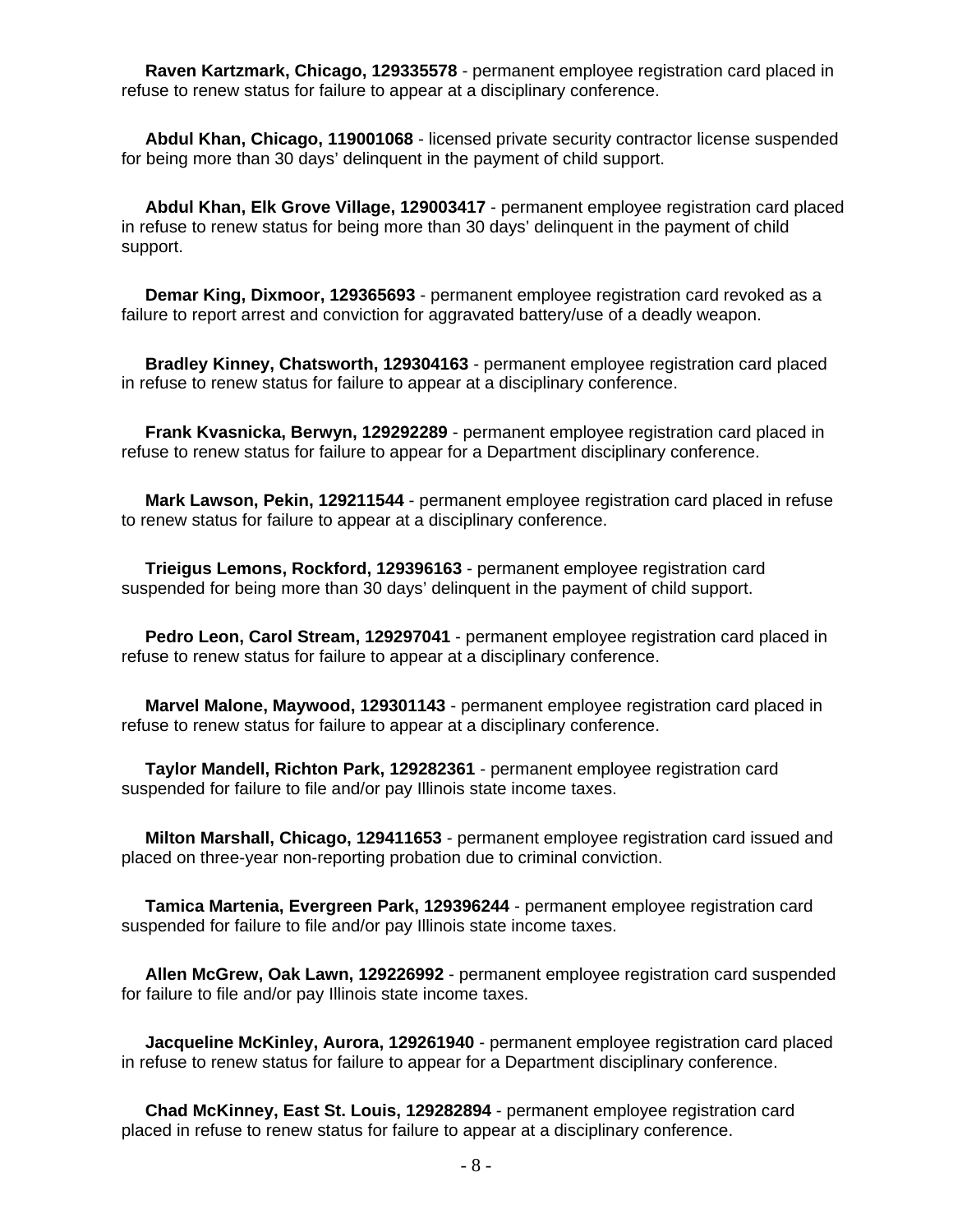**Raven Kartzmark, Chicago, 129335578** - permanent employee registration card placed in refuse to renew status for failure to appear at a disciplinary conference.

 **Abdul Khan, Chicago, 119001068** - licensed private security contractor license suspended for being more than 30 days' delinquent in the payment of child support.

 **Abdul Khan, Elk Grove Village, 129003417** - permanent employee registration card placed in refuse to renew status for being more than 30 days' delinquent in the payment of child support.

 **Demar King, Dixmoor, 129365693** - permanent employee registration card revoked as a failure to report arrest and conviction for aggravated battery/use of a deadly weapon.

 **Bradley Kinney, Chatsworth, 129304163** - permanent employee registration card placed in refuse to renew status for failure to appear at a disciplinary conference.

 **Frank Kvasnicka, Berwyn, 129292289** - permanent employee registration card placed in refuse to renew status for failure to appear for a Department disciplinary conference.

 **Mark Lawson, Pekin, 129211544** - permanent employee registration card placed in refuse to renew status for failure to appear at a disciplinary conference.

 **Trieigus Lemons, Rockford, 129396163** - permanent employee registration card suspended for being more than 30 days' delinquent in the payment of child support.

 **Pedro Leon, Carol Stream, 129297041** - permanent employee registration card placed in refuse to renew status for failure to appear at a disciplinary conference.

 **Marvel Malone, Maywood, 129301143** - permanent employee registration card placed in refuse to renew status for failure to appear at a disciplinary conference.

 **Taylor Mandell, Richton Park, 129282361** - permanent employee registration card suspended for failure to file and/or pay Illinois state income taxes.

 **Milton Marshall, Chicago, 129411653** - permanent employee registration card issued and placed on three-year non-reporting probation due to criminal conviction.

 **Tamica Martenia, Evergreen Park, 129396244** - permanent employee registration card suspended for failure to file and/or pay Illinois state income taxes.

 **Allen McGrew, Oak Lawn, 129226992** - permanent employee registration card suspended for failure to file and/or pay Illinois state income taxes.

 **Jacqueline McKinley, Aurora, 129261940** - permanent employee registration card placed in refuse to renew status for failure to appear for a Department disciplinary conference.

 **Chad McKinney, East St. Louis, 129282894** - permanent employee registration card placed in refuse to renew status for failure to appear at a disciplinary conference.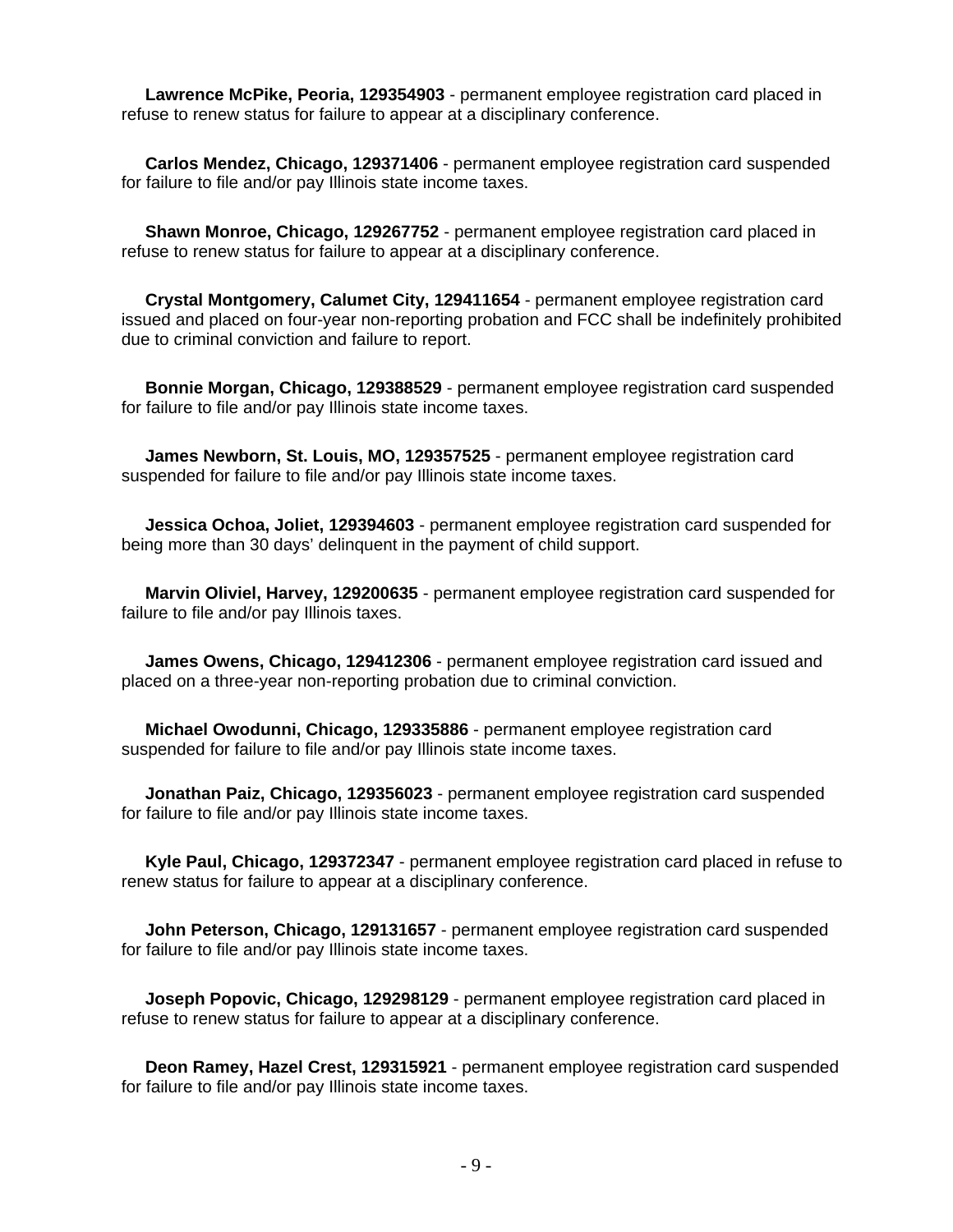**Lawrence McPike, Peoria, 129354903** - permanent employee registration card placed in refuse to renew status for failure to appear at a disciplinary conference.

 **Carlos Mendez, Chicago, 129371406** - permanent employee registration card suspended for failure to file and/or pay Illinois state income taxes.

 **Shawn Monroe, Chicago, 129267752** - permanent employee registration card placed in refuse to renew status for failure to appear at a disciplinary conference.

 **Crystal Montgomery, Calumet City, 129411654** - permanent employee registration card issued and placed on four-year non-reporting probation and FCC shall be indefinitely prohibited due to criminal conviction and failure to report.

 **Bonnie Morgan, Chicago, 129388529** - permanent employee registration card suspended for failure to file and/or pay Illinois state income taxes.

 **James Newborn, St. Louis, MO, 129357525** - permanent employee registration card suspended for failure to file and/or pay Illinois state income taxes.

 **Jessica Ochoa, Joliet, 129394603** - permanent employee registration card suspended for being more than 30 days' delinquent in the payment of child support.

 **Marvin Oliviel, Harvey, 129200635** - permanent employee registration card suspended for failure to file and/or pay Illinois taxes.

 **James Owens, Chicago, 129412306** - permanent employee registration card issued and placed on a three-year non-reporting probation due to criminal conviction.

 **Michael Owodunni, Chicago, 129335886** - permanent employee registration card suspended for failure to file and/or pay Illinois state income taxes.

 **Jonathan Paiz, Chicago, 129356023** - permanent employee registration card suspended for failure to file and/or pay Illinois state income taxes.

 **Kyle Paul, Chicago, 129372347** - permanent employee registration card placed in refuse to renew status for failure to appear at a disciplinary conference.

 **John Peterson, Chicago, 129131657** - permanent employee registration card suspended for failure to file and/or pay Illinois state income taxes.

 **Joseph Popovic, Chicago, 129298129** - permanent employee registration card placed in refuse to renew status for failure to appear at a disciplinary conference.

 **Deon Ramey, Hazel Crest, 129315921** - permanent employee registration card suspended for failure to file and/or pay Illinois state income taxes.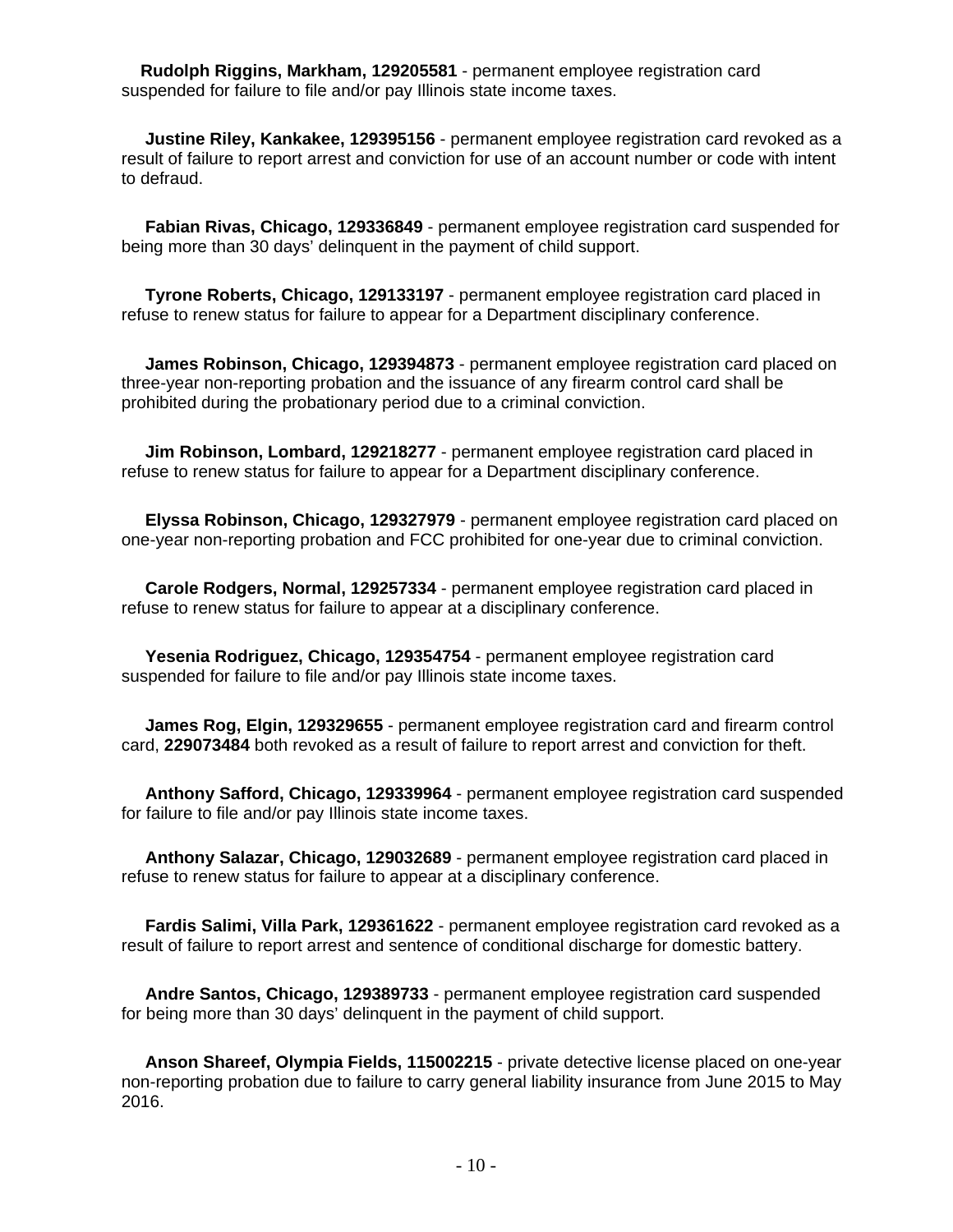**Rudolph Riggins, Markham, 129205581** - permanent employee registration card suspended for failure to file and/or pay Illinois state income taxes.

 **Justine Riley, Kankakee, 129395156** - permanent employee registration card revoked as a result of failure to report arrest and conviction for use of an account number or code with intent to defraud.

 **Fabian Rivas, Chicago, 129336849** - permanent employee registration card suspended for being more than 30 days' delinquent in the payment of child support.

 **Tyrone Roberts, Chicago, 129133197** - permanent employee registration card placed in refuse to renew status for failure to appear for a Department disciplinary conference.

 **James Robinson, Chicago, 129394873** - permanent employee registration card placed on three-year non-reporting probation and the issuance of any firearm control card shall be prohibited during the probationary period due to a criminal conviction.

 **Jim Robinson, Lombard, 129218277** - permanent employee registration card placed in refuse to renew status for failure to appear for a Department disciplinary conference.

 **Elyssa Robinson, Chicago, 129327979** - permanent employee registration card placed on one-year non-reporting probation and FCC prohibited for one-year due to criminal conviction.

 **Carole Rodgers, Normal, 129257334** - permanent employee registration card placed in refuse to renew status for failure to appear at a disciplinary conference.

 **Yesenia Rodriguez, Chicago, 129354754** - permanent employee registration card suspended for failure to file and/or pay Illinois state income taxes.

 **James Rog, Elgin, 129329655** - permanent employee registration card and firearm control card, **229073484** both revoked as a result of failure to report arrest and conviction for theft.

 **Anthony Safford, Chicago, 129339964** - permanent employee registration card suspended for failure to file and/or pay Illinois state income taxes.

 **Anthony Salazar, Chicago, 129032689** - permanent employee registration card placed in refuse to renew status for failure to appear at a disciplinary conference.

 **Fardis Salimi, Villa Park, 129361622** - permanent employee registration card revoked as a result of failure to report arrest and sentence of conditional discharge for domestic battery.

 **Andre Santos, Chicago, 129389733** - permanent employee registration card suspended for being more than 30 days' delinquent in the payment of child support.

 **Anson Shareef, Olympia Fields, 115002215** - private detective license placed on one-year non-reporting probation due to failure to carry general liability insurance from June 2015 to May 2016.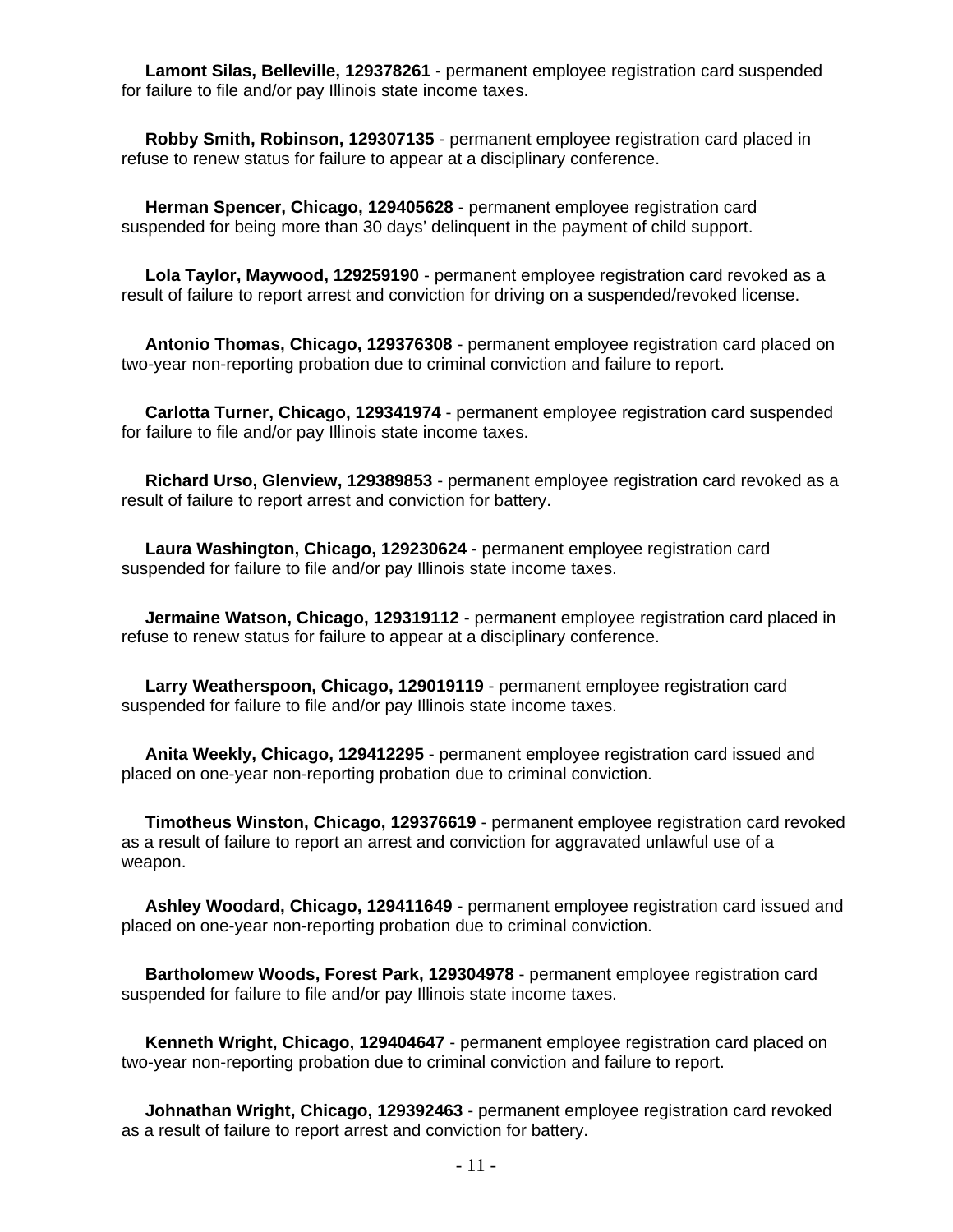**Lamont Silas, Belleville, 129378261** - permanent employee registration card suspended for failure to file and/or pay Illinois state income taxes.

 **Robby Smith, Robinson, 129307135** - permanent employee registration card placed in refuse to renew status for failure to appear at a disciplinary conference.

 **Herman Spencer, Chicago, 129405628** - permanent employee registration card suspended for being more than 30 days' delinquent in the payment of child support.

 **Lola Taylor, Maywood, 129259190** - permanent employee registration card revoked as a result of failure to report arrest and conviction for driving on a suspended/revoked license.

 **Antonio Thomas, Chicago, 129376308** - permanent employee registration card placed on two-year non-reporting probation due to criminal conviction and failure to report.

 **Carlotta Turner, Chicago, 129341974** - permanent employee registration card suspended for failure to file and/or pay Illinois state income taxes.

 **Richard Urso, Glenview, 129389853** - permanent employee registration card revoked as a result of failure to report arrest and conviction for battery.

 **Laura Washington, Chicago, 129230624** - permanent employee registration card suspended for failure to file and/or pay Illinois state income taxes.

 **Jermaine Watson, Chicago, 129319112** - permanent employee registration card placed in refuse to renew status for failure to appear at a disciplinary conference.

 **Larry Weatherspoon, Chicago, 129019119** - permanent employee registration card suspended for failure to file and/or pay Illinois state income taxes.

 **Anita Weekly, Chicago, 129412295** - permanent employee registration card issued and placed on one-year non-reporting probation due to criminal conviction.

 **Timotheus Winston, Chicago, 129376619** - permanent employee registration card revoked as a result of failure to report an arrest and conviction for aggravated unlawful use of a weapon.

 **Ashley Woodard, Chicago, 129411649** - permanent employee registration card issued and placed on one-year non-reporting probation due to criminal conviction.

 **Bartholomew Woods, Forest Park, 129304978** - permanent employee registration card suspended for failure to file and/or pay Illinois state income taxes.

 **Kenneth Wright, Chicago, 129404647** - permanent employee registration card placed on two-year non-reporting probation due to criminal conviction and failure to report.

 **Johnathan Wright, Chicago, 129392463** - permanent employee registration card revoked as a result of failure to report arrest and conviction for battery.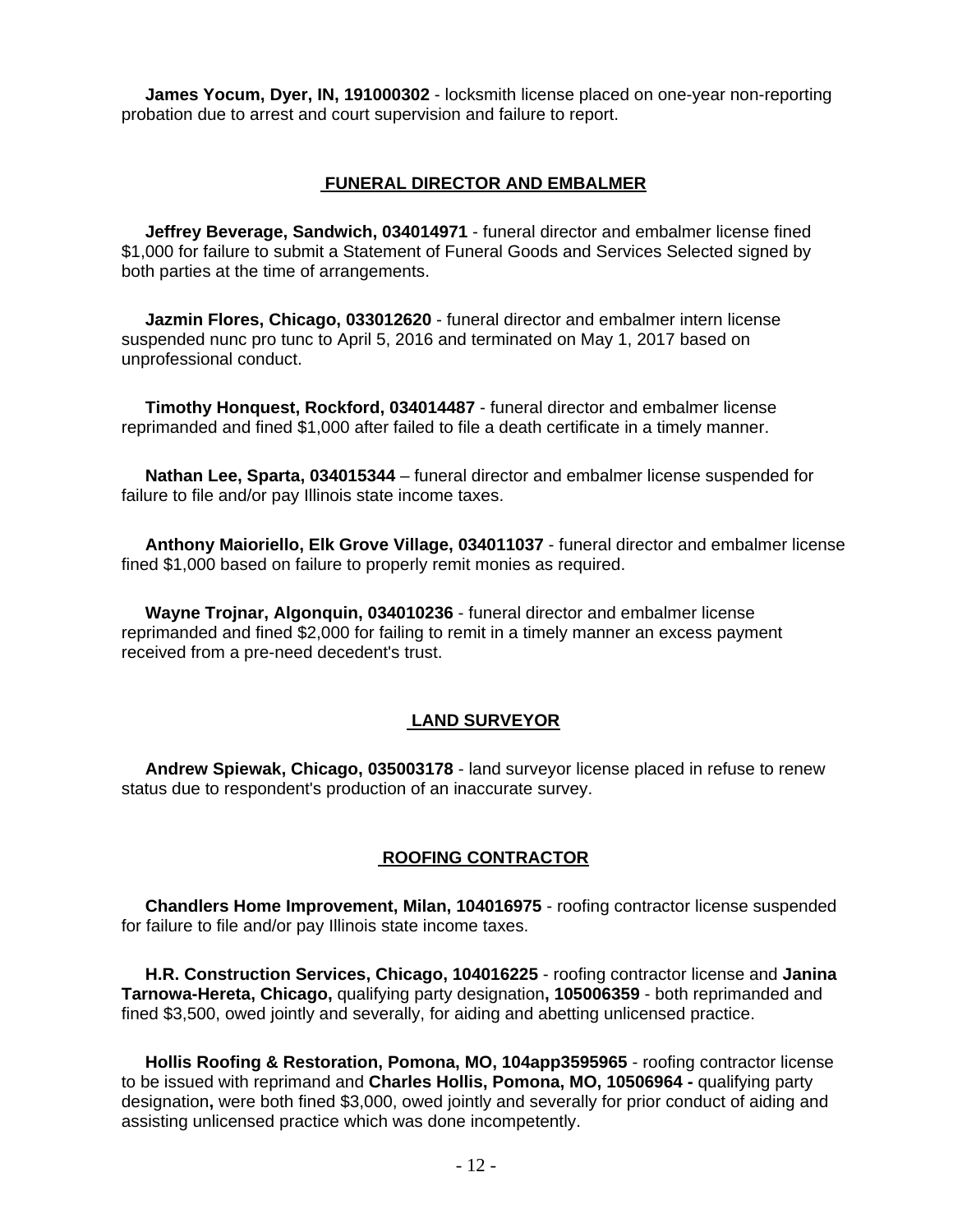**James Yocum, Dyer, IN, 191000302** - locksmith license placed on one-year non-reporting probation due to arrest and court supervision and failure to report.

## **FUNERAL DIRECTOR AND EMBALMER**

 **Jeffrey Beverage, Sandwich, 034014971** - funeral director and embalmer license fined \$1,000 for failure to submit a Statement of Funeral Goods and Services Selected signed by both parties at the time of arrangements.

 **Jazmin Flores, Chicago, 033012620** - funeral director and embalmer intern license suspended nunc pro tunc to April 5, 2016 and terminated on May 1, 2017 based on unprofessional conduct.

 **Timothy Honquest, Rockford, 034014487** - funeral director and embalmer license reprimanded and fined \$1,000 after failed to file a death certificate in a timely manner.

 **Nathan Lee, Sparta, 034015344** – funeral director and embalmer license suspended for failure to file and/or pay Illinois state income taxes.

 **Anthony Maioriello, Elk Grove Village, 034011037** - funeral director and embalmer license fined \$1,000 based on failure to properly remit monies as required.

 **Wayne Trojnar, Algonquin, 034010236** - funeral director and embalmer license reprimanded and fined \$2,000 for failing to remit in a timely manner an excess payment received from a pre-need decedent's trust.

#### **LAND SURVEYOR**

 **Andrew Spiewak, Chicago, 035003178** - land surveyor license placed in refuse to renew status due to respondent's production of an inaccurate survey.

#### **ROOFING CONTRACTOR**

 **Chandlers Home Improvement, Milan, 104016975** - roofing contractor license suspended for failure to file and/or pay Illinois state income taxes.

 **H.R. Construction Services, Chicago, 104016225** - roofing contractor license and **Janina Tarnowa-Hereta, Chicago,** qualifying party designation**, 105006359** - both reprimanded and fined \$3,500, owed jointly and severally, for aiding and abetting unlicensed practice.

 **Hollis Roofing & Restoration, Pomona, MO, 104app3595965** - roofing contractor license to be issued with reprimand and **Charles Hollis, Pomona, MO, 10506964 -** qualifying party designation**,** were both fined \$3,000, owed jointly and severally for prior conduct of aiding and assisting unlicensed practice which was done incompetently.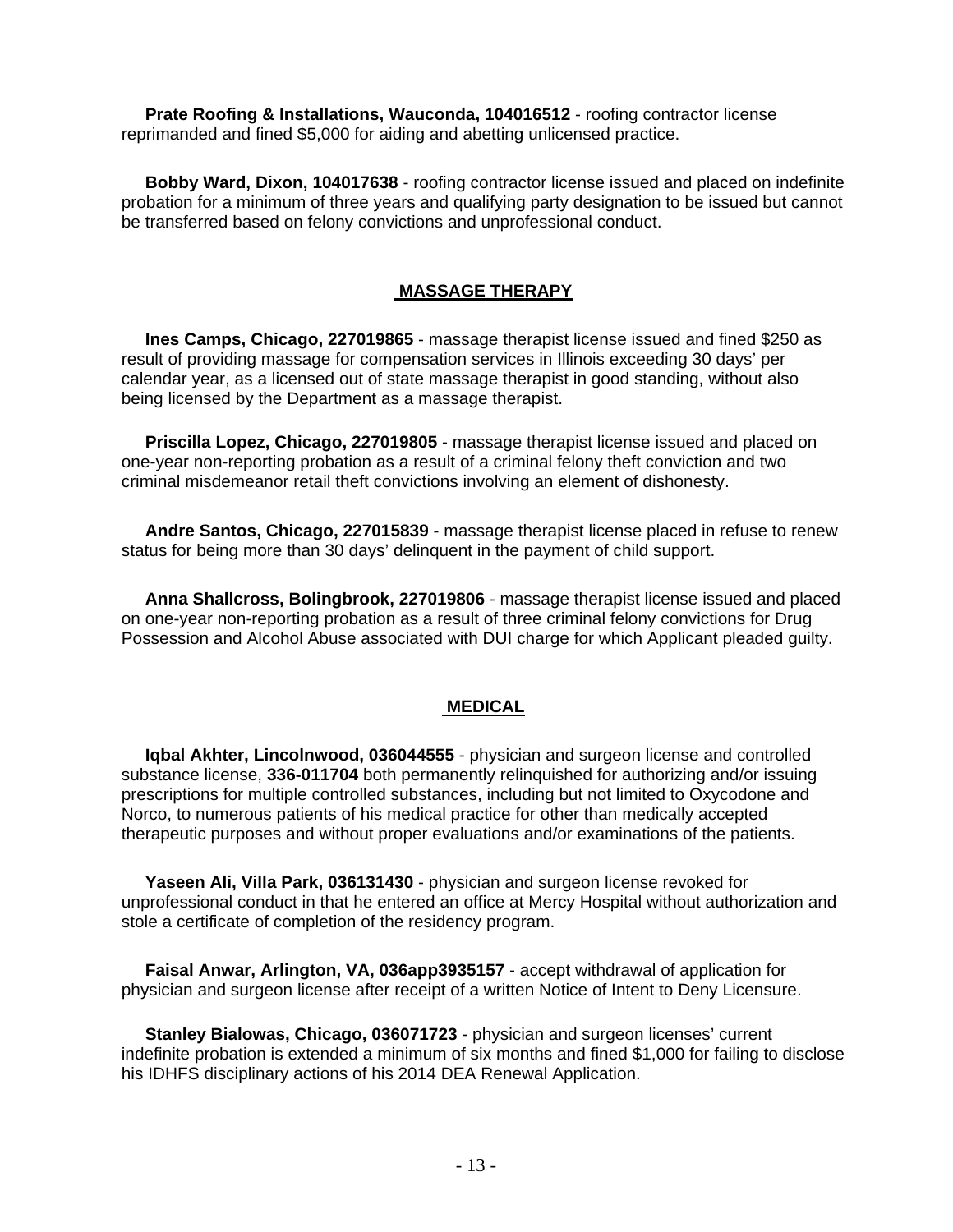**Prate Roofing & Installations, Wauconda, 104016512** - roofing contractor license reprimanded and fined \$5,000 for aiding and abetting unlicensed practice.

 **Bobby Ward, Dixon, 104017638** - roofing contractor license issued and placed on indefinite probation for a minimum of three years and qualifying party designation to be issued but cannot be transferred based on felony convictions and unprofessional conduct.

## **MASSAGE THERAPY**

 **Ines Camps, Chicago, 227019865** - massage therapist license issued and fined \$250 as result of providing massage for compensation services in Illinois exceeding 30 days' per calendar year, as a licensed out of state massage therapist in good standing, without also being licensed by the Department as a massage therapist.

 **Priscilla Lopez, Chicago, 227019805** - massage therapist license issued and placed on one-year non-reporting probation as a result of a criminal felony theft conviction and two criminal misdemeanor retail theft convictions involving an element of dishonesty.

 **Andre Santos, Chicago, 227015839** - massage therapist license placed in refuse to renew status for being more than 30 days' delinquent in the payment of child support.

 **Anna Shallcross, Bolingbrook, 227019806** - massage therapist license issued and placed on one-year non-reporting probation as a result of three criminal felony convictions for Drug Possession and Alcohol Abuse associated with DUI charge for which Applicant pleaded guilty.

## **MEDICAL**

 **Iqbal Akhter, Lincolnwood, 036044555** - physician and surgeon license and controlled substance license, **336-011704** both permanently relinquished for authorizing and/or issuing prescriptions for multiple controlled substances, including but not limited to Oxycodone and Norco, to numerous patients of his medical practice for other than medically accepted therapeutic purposes and without proper evaluations and/or examinations of the patients.

 **Yaseen Ali, Villa Park, 036131430** - physician and surgeon license revoked for unprofessional conduct in that he entered an office at Mercy Hospital without authorization and stole a certificate of completion of the residency program.

 **Faisal Anwar, Arlington, VA, 036app3935157** - accept withdrawal of application for physician and surgeon license after receipt of a written Notice of Intent to Deny Licensure.

 **Stanley Bialowas, Chicago, 036071723** - physician and surgeon licenses' current indefinite probation is extended a minimum of six months and fined \$1,000 for failing to disclose his IDHFS disciplinary actions of his 2014 DEA Renewal Application.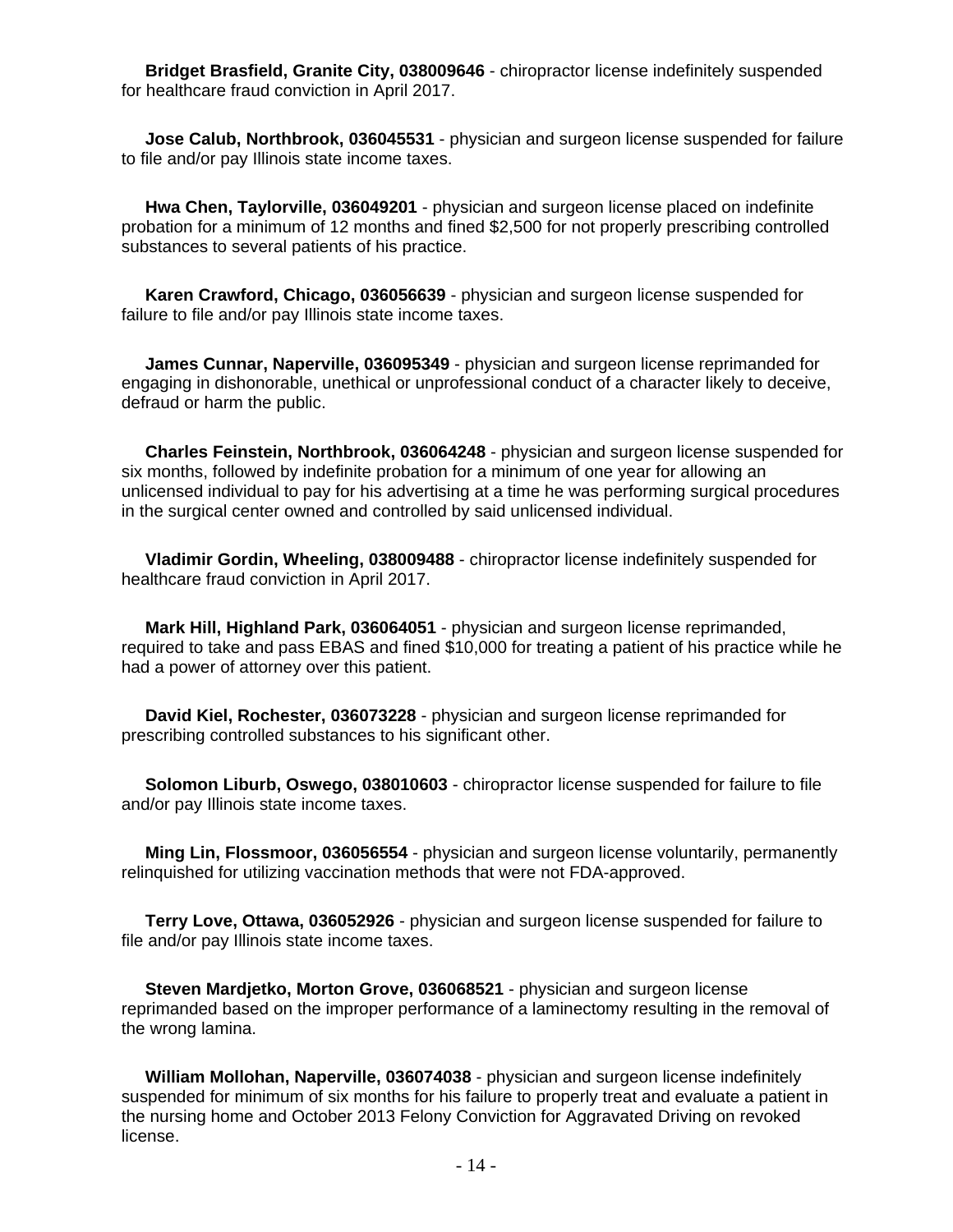**Bridget Brasfield, Granite City, 038009646** - chiropractor license indefinitely suspended for healthcare fraud conviction in April 2017.

 **Jose Calub, Northbrook, 036045531** - physician and surgeon license suspended for failure to file and/or pay Illinois state income taxes.

 **Hwa Chen, Taylorville, 036049201** - physician and surgeon license placed on indefinite probation for a minimum of 12 months and fined \$2,500 for not properly prescribing controlled substances to several patients of his practice.

 **Karen Crawford, Chicago, 036056639** - physician and surgeon license suspended for failure to file and/or pay Illinois state income taxes.

 **James Cunnar, Naperville, 036095349** - physician and surgeon license reprimanded for engaging in dishonorable, unethical or unprofessional conduct of a character likely to deceive, defraud or harm the public.

 **Charles Feinstein, Northbrook, 036064248** - physician and surgeon license suspended for six months, followed by indefinite probation for a minimum of one year for allowing an unlicensed individual to pay for his advertising at a time he was performing surgical procedures in the surgical center owned and controlled by said unlicensed individual.

 **Vladimir Gordin, Wheeling, 038009488** - chiropractor license indefinitely suspended for healthcare fraud conviction in April 2017.

 **Mark Hill, Highland Park, 036064051** - physician and surgeon license reprimanded, required to take and pass EBAS and fined \$10,000 for treating a patient of his practice while he had a power of attorney over this patient.

 **David Kiel, Rochester, 036073228** - physician and surgeon license reprimanded for prescribing controlled substances to his significant other.

 **Solomon Liburb, Oswego, 038010603** - chiropractor license suspended for failure to file and/or pay Illinois state income taxes.

 **Ming Lin, Flossmoor, 036056554** - physician and surgeon license voluntarily, permanently relinquished for utilizing vaccination methods that were not FDA-approved.

 **Terry Love, Ottawa, 036052926** - physician and surgeon license suspended for failure to file and/or pay Illinois state income taxes.

 **Steven Mardjetko, Morton Grove, 036068521** - physician and surgeon license reprimanded based on the improper performance of a laminectomy resulting in the removal of the wrong lamina.

 **William Mollohan, Naperville, 036074038** - physician and surgeon license indefinitely suspended for minimum of six months for his failure to properly treat and evaluate a patient in the nursing home and October 2013 Felony Conviction for Aggravated Driving on revoked license.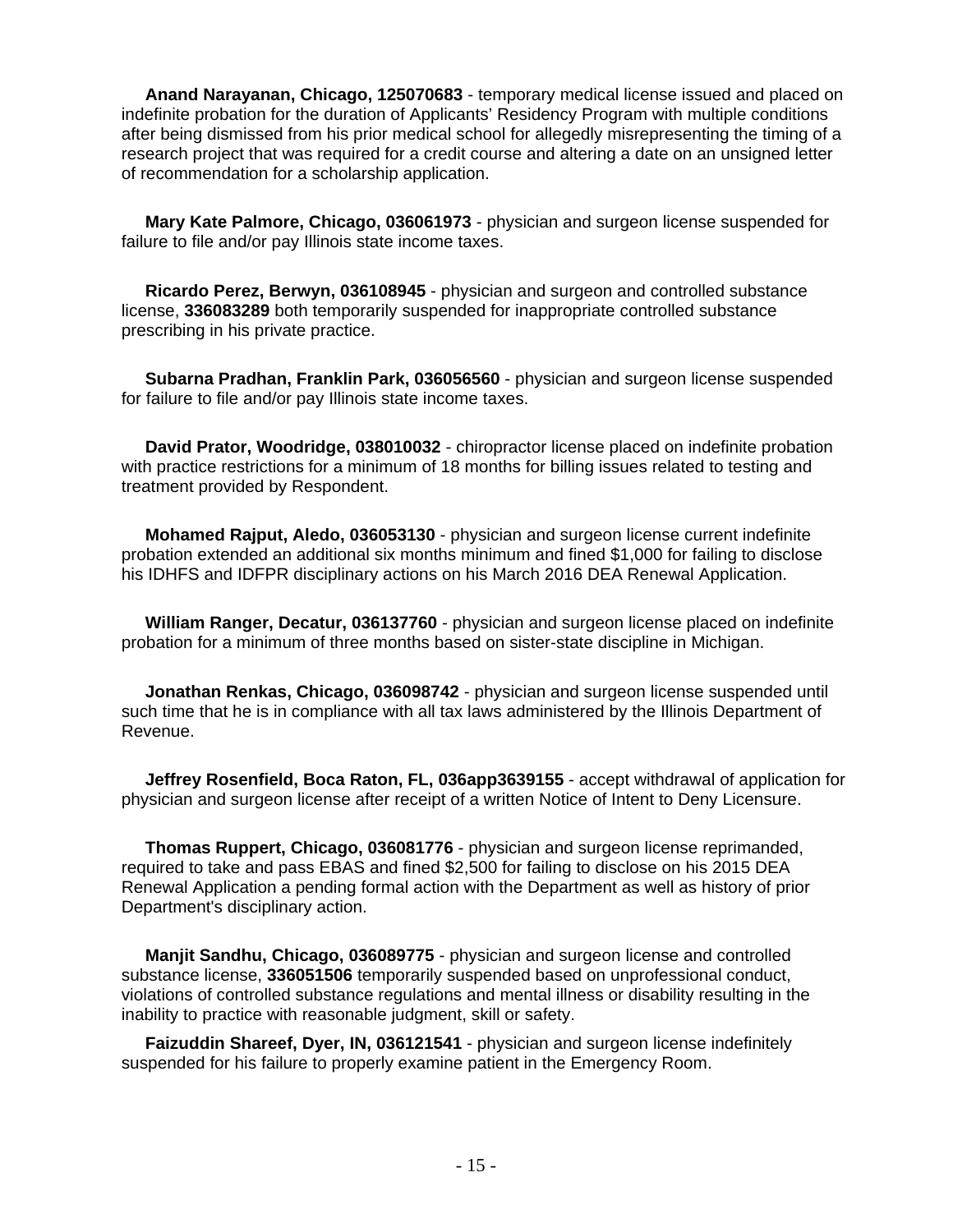**Anand Narayanan, Chicago, 125070683** - temporary medical license issued and placed on indefinite probation for the duration of Applicants' Residency Program with multiple conditions after being dismissed from his prior medical school for allegedly misrepresenting the timing of a research project that was required for a credit course and altering a date on an unsigned letter of recommendation for a scholarship application.

 **Mary Kate Palmore, Chicago, 036061973** - physician and surgeon license suspended for failure to file and/or pay Illinois state income taxes.

 **Ricardo Perez, Berwyn, 036108945** - physician and surgeon and controlled substance license, **336083289** both temporarily suspended for inappropriate controlled substance prescribing in his private practice.

 **Subarna Pradhan, Franklin Park, 036056560** - physician and surgeon license suspended for failure to file and/or pay Illinois state income taxes.

 **David Prator, Woodridge, 038010032** - chiropractor license placed on indefinite probation with practice restrictions for a minimum of 18 months for billing issues related to testing and treatment provided by Respondent.

 **Mohamed Rajput, Aledo, 036053130** - physician and surgeon license current indefinite probation extended an additional six months minimum and fined \$1,000 for failing to disclose his IDHFS and IDFPR disciplinary actions on his March 2016 DEA Renewal Application.

 **William Ranger, Decatur, 036137760** - physician and surgeon license placed on indefinite probation for a minimum of three months based on sister-state discipline in Michigan.

 **Jonathan Renkas, Chicago, 036098742** - physician and surgeon license suspended until such time that he is in compliance with all tax laws administered by the Illinois Department of Revenue.

 **Jeffrey Rosenfield, Boca Raton, FL, 036app3639155** - accept withdrawal of application for physician and surgeon license after receipt of a written Notice of Intent to Deny Licensure.

 **Thomas Ruppert, Chicago, 036081776** - physician and surgeon license reprimanded, required to take and pass EBAS and fined \$2,500 for failing to disclose on his 2015 DEA Renewal Application a pending formal action with the Department as well as history of prior Department's disciplinary action.

 **Manjit Sandhu, Chicago, 036089775** - physician and surgeon license and controlled substance license, **336051506** temporarily suspended based on unprofessional conduct, violations of controlled substance regulations and mental illness or disability resulting in the inability to practice with reasonable judgment, skill or safety.

 **Faizuddin Shareef, Dyer, IN, 036121541** - physician and surgeon license indefinitely suspended for his failure to properly examine patient in the Emergency Room.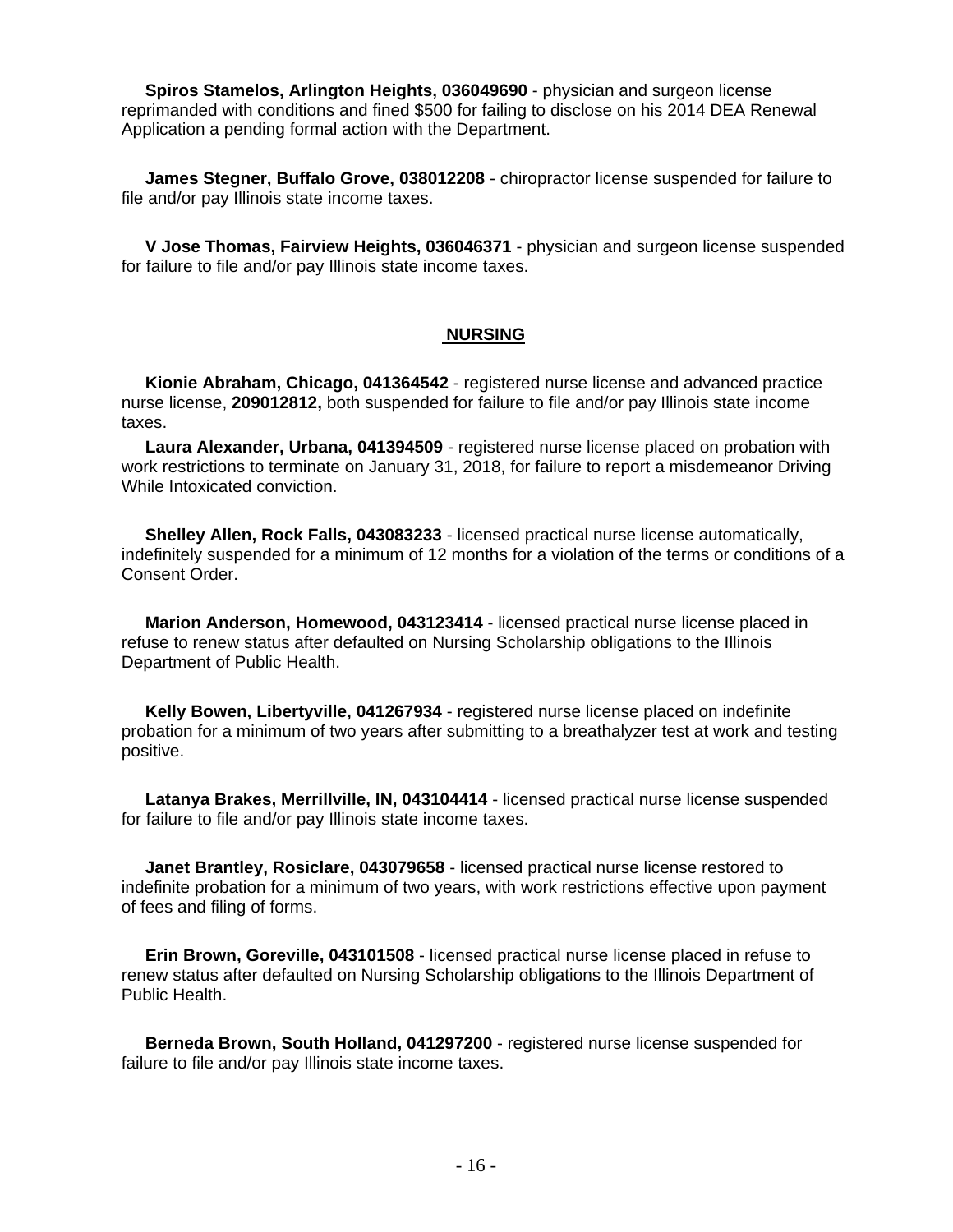**Spiros Stamelos, Arlington Heights, 036049690** - physician and surgeon license reprimanded with conditions and fined \$500 for failing to disclose on his 2014 DEA Renewal Application a pending formal action with the Department.

 **James Stegner, Buffalo Grove, 038012208** - chiropractor license suspended for failure to file and/or pay Illinois state income taxes.

 **V Jose Thomas, Fairview Heights, 036046371** - physician and surgeon license suspended for failure to file and/or pay Illinois state income taxes.

## **NURSING**

 **Kionie Abraham, Chicago, 041364542** - registered nurse license and advanced practice nurse license, **209012812,** both suspended for failure to file and/or pay Illinois state income taxes.

 **Laura Alexander, Urbana, 041394509** - registered nurse license placed on probation with work restrictions to terminate on January 31, 2018, for failure to report a misdemeanor Driving While Intoxicated conviction.

 **Shelley Allen, Rock Falls, 043083233** - licensed practical nurse license automatically, indefinitely suspended for a minimum of 12 months for a violation of the terms or conditions of a Consent Order.

 **Marion Anderson, Homewood, 043123414** - licensed practical nurse license placed in refuse to renew status after defaulted on Nursing Scholarship obligations to the Illinois Department of Public Health.

 **Kelly Bowen, Libertyville, 041267934** - registered nurse license placed on indefinite probation for a minimum of two years after submitting to a breathalyzer test at work and testing positive.

 **Latanya Brakes, Merrillville, IN, 043104414** - licensed practical nurse license suspended for failure to file and/or pay Illinois state income taxes.

 **Janet Brantley, Rosiclare, 043079658** - licensed practical nurse license restored to indefinite probation for a minimum of two years, with work restrictions effective upon payment of fees and filing of forms.

 **Erin Brown, Goreville, 043101508** - licensed practical nurse license placed in refuse to renew status after defaulted on Nursing Scholarship obligations to the Illinois Department of Public Health.

 **Berneda Brown, South Holland, 041297200** - registered nurse license suspended for failure to file and/or pay Illinois state income taxes.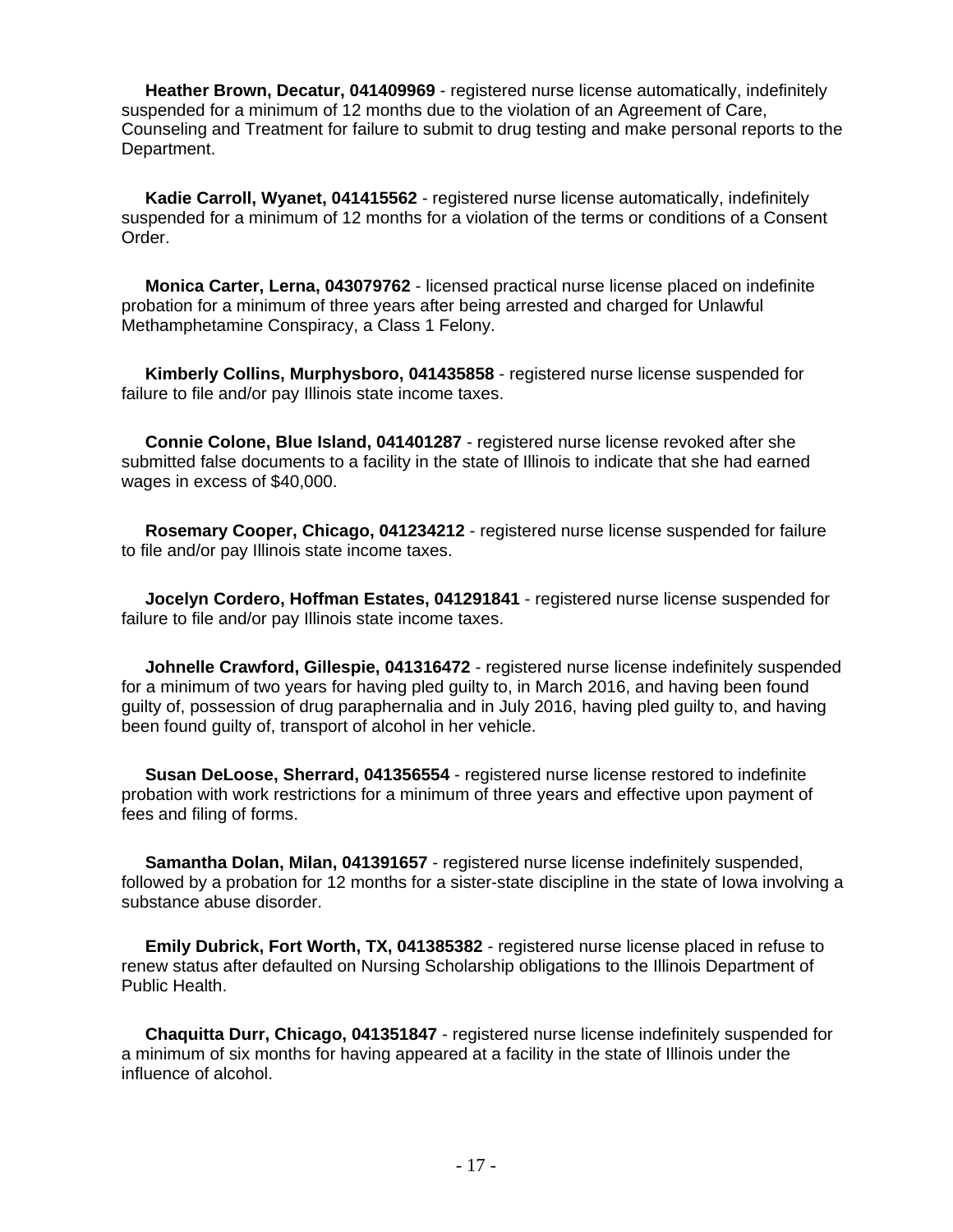**Heather Brown, Decatur, 041409969** - registered nurse license automatically, indefinitely suspended for a minimum of 12 months due to the violation of an Agreement of Care, Counseling and Treatment for failure to submit to drug testing and make personal reports to the Department.

 **Kadie Carroll, Wyanet, 041415562** - registered nurse license automatically, indefinitely suspended for a minimum of 12 months for a violation of the terms or conditions of a Consent Order.

 **Monica Carter, Lerna, 043079762** - licensed practical nurse license placed on indefinite probation for a minimum of three years after being arrested and charged for Unlawful Methamphetamine Conspiracy, a Class 1 Felony.

 **Kimberly Collins, Murphysboro, 041435858** - registered nurse license suspended for failure to file and/or pay Illinois state income taxes.

 **Connie Colone, Blue Island, 041401287** - registered nurse license revoked after she submitted false documents to a facility in the state of Illinois to indicate that she had earned wages in excess of \$40,000.

 **Rosemary Cooper, Chicago, 041234212** - registered nurse license suspended for failure to file and/or pay Illinois state income taxes.

 **Jocelyn Cordero, Hoffman Estates, 041291841** - registered nurse license suspended for failure to file and/or pay Illinois state income taxes.

 **Johnelle Crawford, Gillespie, 041316472** - registered nurse license indefinitely suspended for a minimum of two years for having pled guilty to, in March 2016, and having been found guilty of, possession of drug paraphernalia and in July 2016, having pled guilty to, and having been found guilty of, transport of alcohol in her vehicle.

 **Susan DeLoose, Sherrard, 041356554** - registered nurse license restored to indefinite probation with work restrictions for a minimum of three years and effective upon payment of fees and filing of forms.

 **Samantha Dolan, Milan, 041391657** - registered nurse license indefinitely suspended, followed by a probation for 12 months for a sister-state discipline in the state of Iowa involving a substance abuse disorder.

 **Emily Dubrick, Fort Worth, TX, 041385382** - registered nurse license placed in refuse to renew status after defaulted on Nursing Scholarship obligations to the Illinois Department of Public Health.

 **Chaquitta Durr, Chicago, 041351847** - registered nurse license indefinitely suspended for a minimum of six months for having appeared at a facility in the state of Illinois under the influence of alcohol.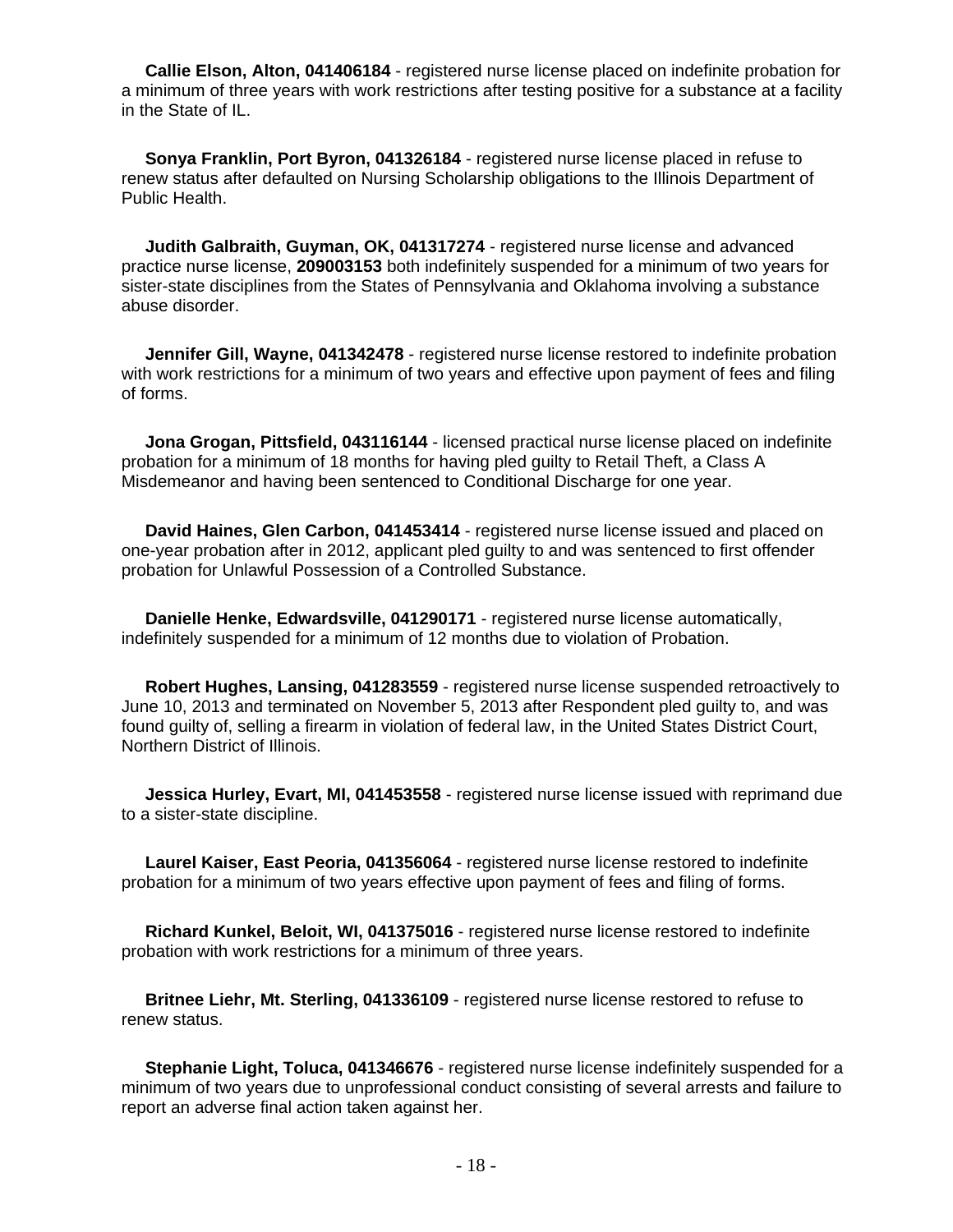**Callie Elson, Alton, 041406184** - registered nurse license placed on indefinite probation for a minimum of three years with work restrictions after testing positive for a substance at a facility in the State of IL.

 **Sonya Franklin, Port Byron, 041326184** - registered nurse license placed in refuse to renew status after defaulted on Nursing Scholarship obligations to the Illinois Department of Public Health.

 **Judith Galbraith, Guyman, OK, 041317274** - registered nurse license and advanced practice nurse license, **209003153** both indefinitely suspended for a minimum of two years for sister-state disciplines from the States of Pennsylvania and Oklahoma involving a substance abuse disorder.

 **Jennifer Gill, Wayne, 041342478** - registered nurse license restored to indefinite probation with work restrictions for a minimum of two years and effective upon payment of fees and filing of forms.

 **Jona Grogan, Pittsfield, 043116144** - licensed practical nurse license placed on indefinite probation for a minimum of 18 months for having pled guilty to Retail Theft, a Class A Misdemeanor and having been sentenced to Conditional Discharge for one year.

 **David Haines, Glen Carbon, 041453414** - registered nurse license issued and placed on one-year probation after in 2012, applicant pled guilty to and was sentenced to first offender probation for Unlawful Possession of a Controlled Substance.

 **Danielle Henke, Edwardsville, 041290171** - registered nurse license automatically, indefinitely suspended for a minimum of 12 months due to violation of Probation.

 **Robert Hughes, Lansing, 041283559** - registered nurse license suspended retroactively to June 10, 2013 and terminated on November 5, 2013 after Respondent pled guilty to, and was found guilty of, selling a firearm in violation of federal law, in the United States District Court, Northern District of Illinois.

 **Jessica Hurley, Evart, MI, 041453558** - registered nurse license issued with reprimand due to a sister-state discipline.

 **Laurel Kaiser, East Peoria, 041356064** - registered nurse license restored to indefinite probation for a minimum of two years effective upon payment of fees and filing of forms.

 **Richard Kunkel, Beloit, WI, 041375016** - registered nurse license restored to indefinite probation with work restrictions for a minimum of three years.

 **Britnee Liehr, Mt. Sterling, 041336109** - registered nurse license restored to refuse to renew status.

 **Stephanie Light, Toluca, 041346676** - registered nurse license indefinitely suspended for a minimum of two years due to unprofessional conduct consisting of several arrests and failure to report an adverse final action taken against her.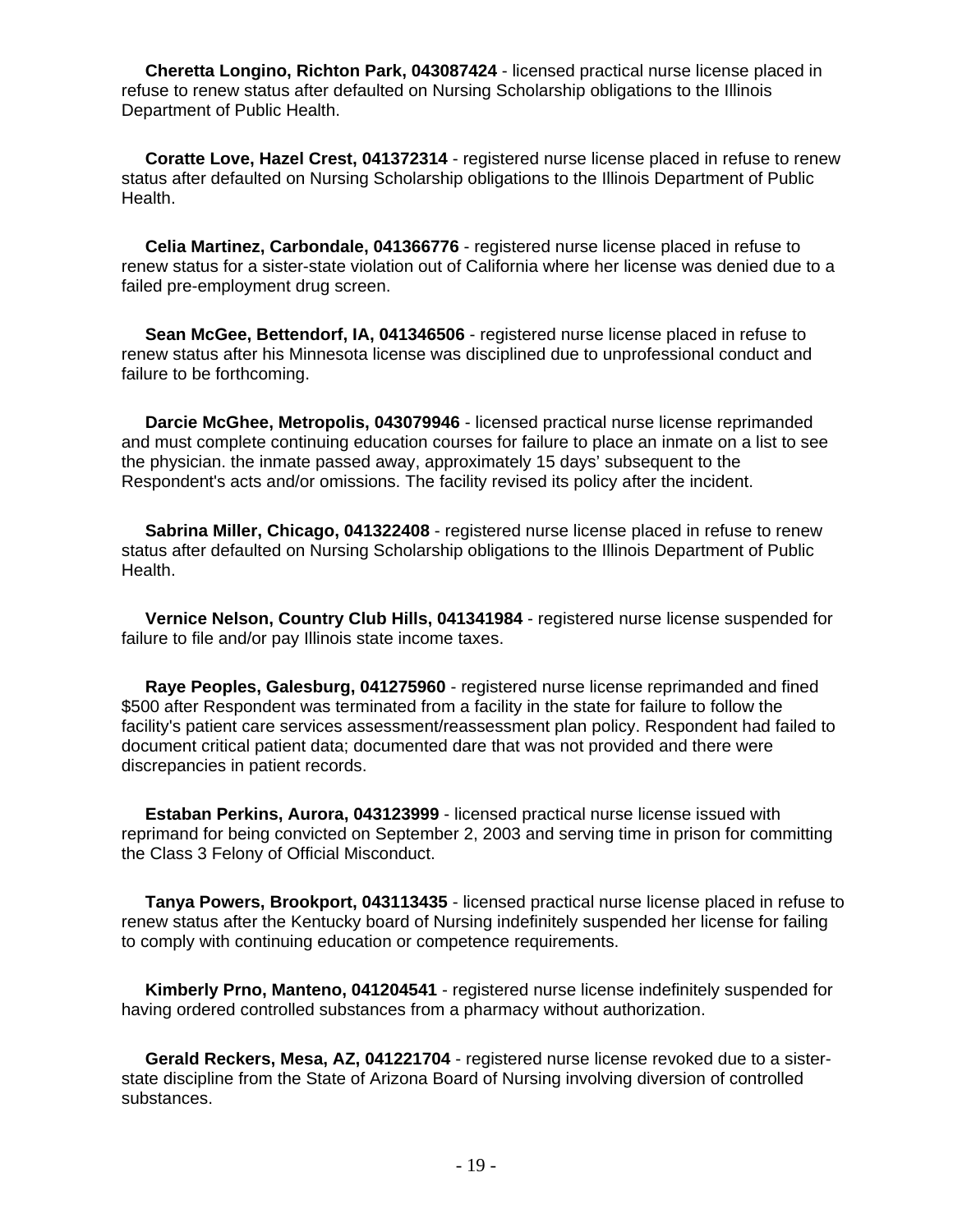**Cheretta Longino, Richton Park, 043087424** - licensed practical nurse license placed in refuse to renew status after defaulted on Nursing Scholarship obligations to the Illinois Department of Public Health.

 **Coratte Love, Hazel Crest, 041372314** - registered nurse license placed in refuse to renew status after defaulted on Nursing Scholarship obligations to the Illinois Department of Public Health.

 **Celia Martinez, Carbondale, 041366776** - registered nurse license placed in refuse to renew status for a sister-state violation out of California where her license was denied due to a failed pre-employment drug screen.

 **Sean McGee, Bettendorf, IA, 041346506** - registered nurse license placed in refuse to renew status after his Minnesota license was disciplined due to unprofessional conduct and failure to be forthcoming.

 **Darcie McGhee, Metropolis, 043079946** - licensed practical nurse license reprimanded and must complete continuing education courses for failure to place an inmate on a list to see the physician. the inmate passed away, approximately 15 days' subsequent to the Respondent's acts and/or omissions. The facility revised its policy after the incident.

 **Sabrina Miller, Chicago, 041322408** - registered nurse license placed in refuse to renew status after defaulted on Nursing Scholarship obligations to the Illinois Department of Public Health.

 **Vernice Nelson, Country Club Hills, 041341984** - registered nurse license suspended for failure to file and/or pay Illinois state income taxes.

 **Raye Peoples, Galesburg, 041275960** - registered nurse license reprimanded and fined \$500 after Respondent was terminated from a facility in the state for failure to follow the facility's patient care services assessment/reassessment plan policy. Respondent had failed to document critical patient data; documented dare that was not provided and there were discrepancies in patient records.

 **Estaban Perkins, Aurora, 043123999** - licensed practical nurse license issued with reprimand for being convicted on September 2, 2003 and serving time in prison for committing the Class 3 Felony of Official Misconduct.

 **Tanya Powers, Brookport, 043113435** - licensed practical nurse license placed in refuse to renew status after the Kentucky board of Nursing indefinitely suspended her license for failing to comply with continuing education or competence requirements.

 **Kimberly Prno, Manteno, 041204541** - registered nurse license indefinitely suspended for having ordered controlled substances from a pharmacy without authorization.

 **Gerald Reckers, Mesa, AZ, 041221704** - registered nurse license revoked due to a sisterstate discipline from the State of Arizona Board of Nursing involving diversion of controlled substances.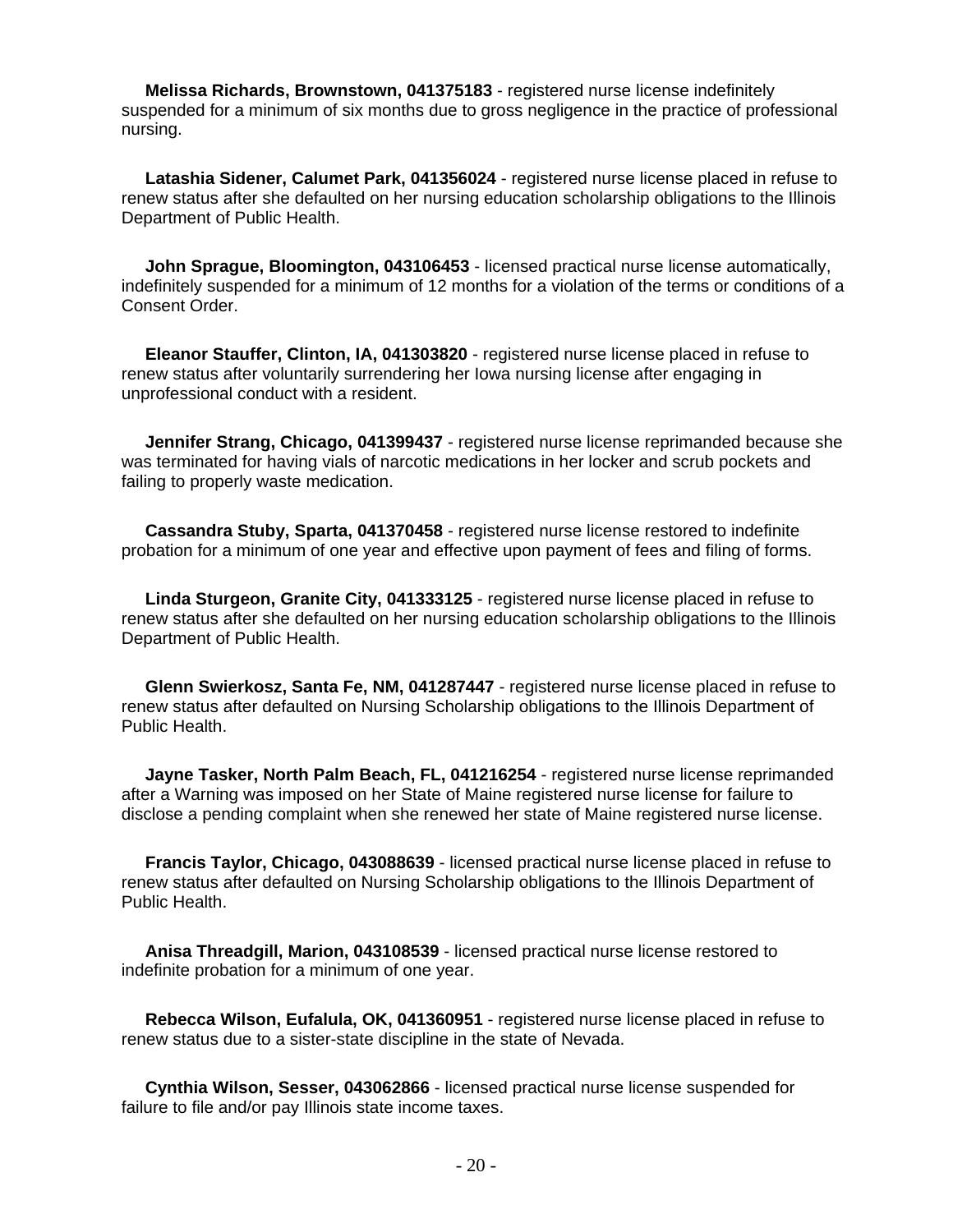**Melissa Richards, Brownstown, 041375183** - registered nurse license indefinitely suspended for a minimum of six months due to gross negligence in the practice of professional nursing.

 **Latashia Sidener, Calumet Park, 041356024** - registered nurse license placed in refuse to renew status after she defaulted on her nursing education scholarship obligations to the Illinois Department of Public Health.

 **John Sprague, Bloomington, 043106453** - licensed practical nurse license automatically, indefinitely suspended for a minimum of 12 months for a violation of the terms or conditions of a Consent Order.

 **Eleanor Stauffer, Clinton, IA, 041303820** - registered nurse license placed in refuse to renew status after voluntarily surrendering her Iowa nursing license after engaging in unprofessional conduct with a resident.

 **Jennifer Strang, Chicago, 041399437** - registered nurse license reprimanded because she was terminated for having vials of narcotic medications in her locker and scrub pockets and failing to properly waste medication.

 **Cassandra Stuby, Sparta, 041370458** - registered nurse license restored to indefinite probation for a minimum of one year and effective upon payment of fees and filing of forms.

 **Linda Sturgeon, Granite City, 041333125** - registered nurse license placed in refuse to renew status after she defaulted on her nursing education scholarship obligations to the Illinois Department of Public Health.

 **Glenn Swierkosz, Santa Fe, NM, 041287447** - registered nurse license placed in refuse to renew status after defaulted on Nursing Scholarship obligations to the Illinois Department of Public Health.

 **Jayne Tasker, North Palm Beach, FL, 041216254** - registered nurse license reprimanded after a Warning was imposed on her State of Maine registered nurse license for failure to disclose a pending complaint when she renewed her state of Maine registered nurse license.

 **Francis Taylor, Chicago, 043088639** - licensed practical nurse license placed in refuse to renew status after defaulted on Nursing Scholarship obligations to the Illinois Department of Public Health.

 **Anisa Threadgill, Marion, 043108539** - licensed practical nurse license restored to indefinite probation for a minimum of one year.

 **Rebecca Wilson, Eufalula, OK, 041360951** - registered nurse license placed in refuse to renew status due to a sister-state discipline in the state of Nevada.

 **Cynthia Wilson, Sesser, 043062866** - licensed practical nurse license suspended for failure to file and/or pay Illinois state income taxes.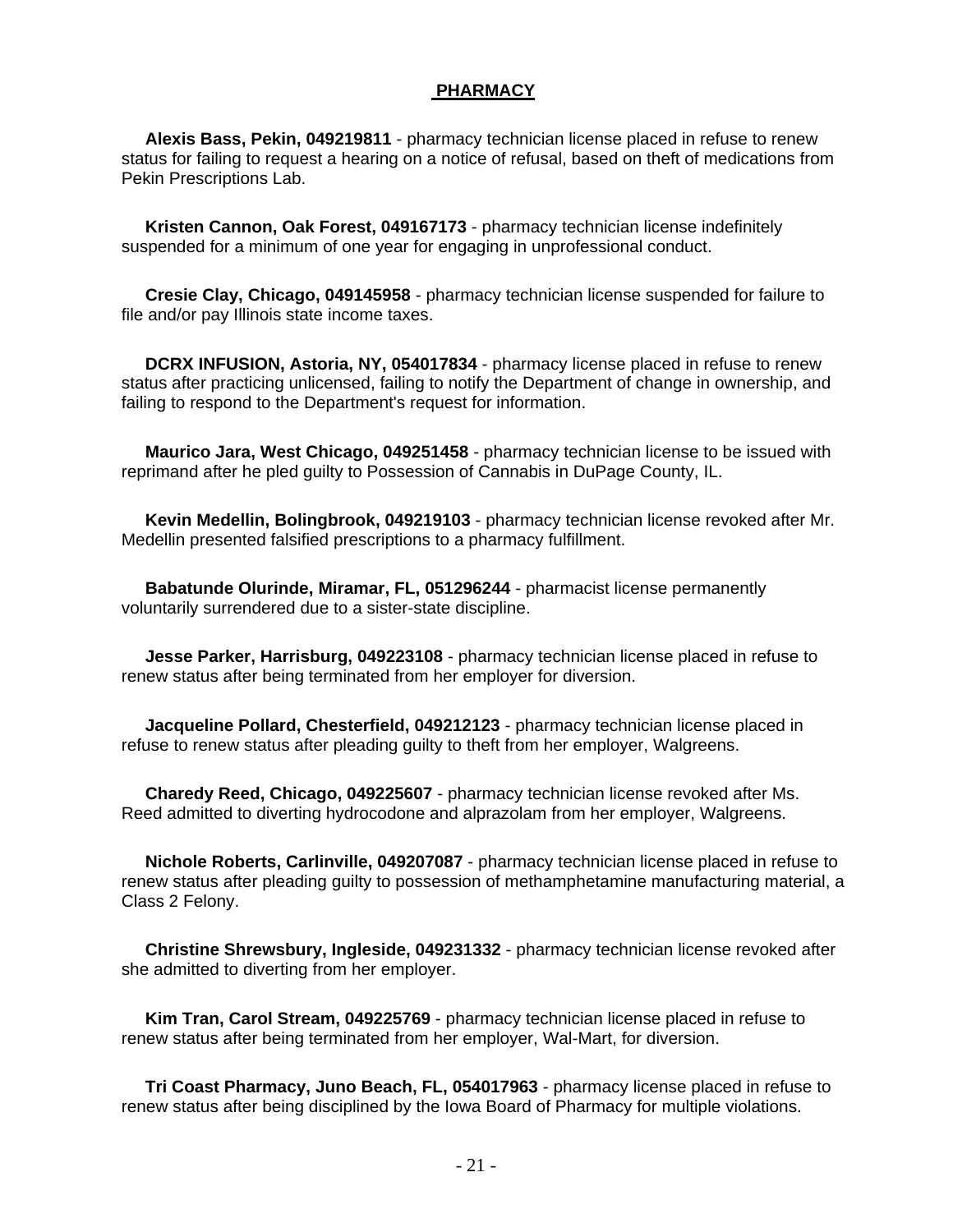## **PHARMACY**

 **Alexis Bass, Pekin, 049219811** - pharmacy technician license placed in refuse to renew status for failing to request a hearing on a notice of refusal, based on theft of medications from Pekin Prescriptions Lab.

 **Kristen Cannon, Oak Forest, 049167173** - pharmacy technician license indefinitely suspended for a minimum of one year for engaging in unprofessional conduct.

 **Cresie Clay, Chicago, 049145958** - pharmacy technician license suspended for failure to file and/or pay Illinois state income taxes.

 **DCRX INFUSION, Astoria, NY, 054017834** - pharmacy license placed in refuse to renew status after practicing unlicensed, failing to notify the Department of change in ownership, and failing to respond to the Department's request for information.

 **Maurico Jara, West Chicago, 049251458** - pharmacy technician license to be issued with reprimand after he pled guilty to Possession of Cannabis in DuPage County, IL.

 **Kevin Medellin, Bolingbrook, 049219103** - pharmacy technician license revoked after Mr. Medellin presented falsified prescriptions to a pharmacy fulfillment.

 **Babatunde Olurinde, Miramar, FL, 051296244** - pharmacist license permanently voluntarily surrendered due to a sister-state discipline.

 **Jesse Parker, Harrisburg, 049223108** - pharmacy technician license placed in refuse to renew status after being terminated from her employer for diversion.

 **Jacqueline Pollard, Chesterfield, 049212123** - pharmacy technician license placed in refuse to renew status after pleading guilty to theft from her employer, Walgreens.

 **Charedy Reed, Chicago, 049225607** - pharmacy technician license revoked after Ms. Reed admitted to diverting hydrocodone and alprazolam from her employer, Walgreens.

 **Nichole Roberts, Carlinville, 049207087** - pharmacy technician license placed in refuse to renew status after pleading guilty to possession of methamphetamine manufacturing material, a Class 2 Felony.

 **Christine Shrewsbury, Ingleside, 049231332** - pharmacy technician license revoked after she admitted to diverting from her employer.

 **Kim Tran, Carol Stream, 049225769** - pharmacy technician license placed in refuse to renew status after being terminated from her employer, Wal-Mart, for diversion.

 **Tri Coast Pharmacy, Juno Beach, FL, 054017963** - pharmacy license placed in refuse to renew status after being disciplined by the Iowa Board of Pharmacy for multiple violations.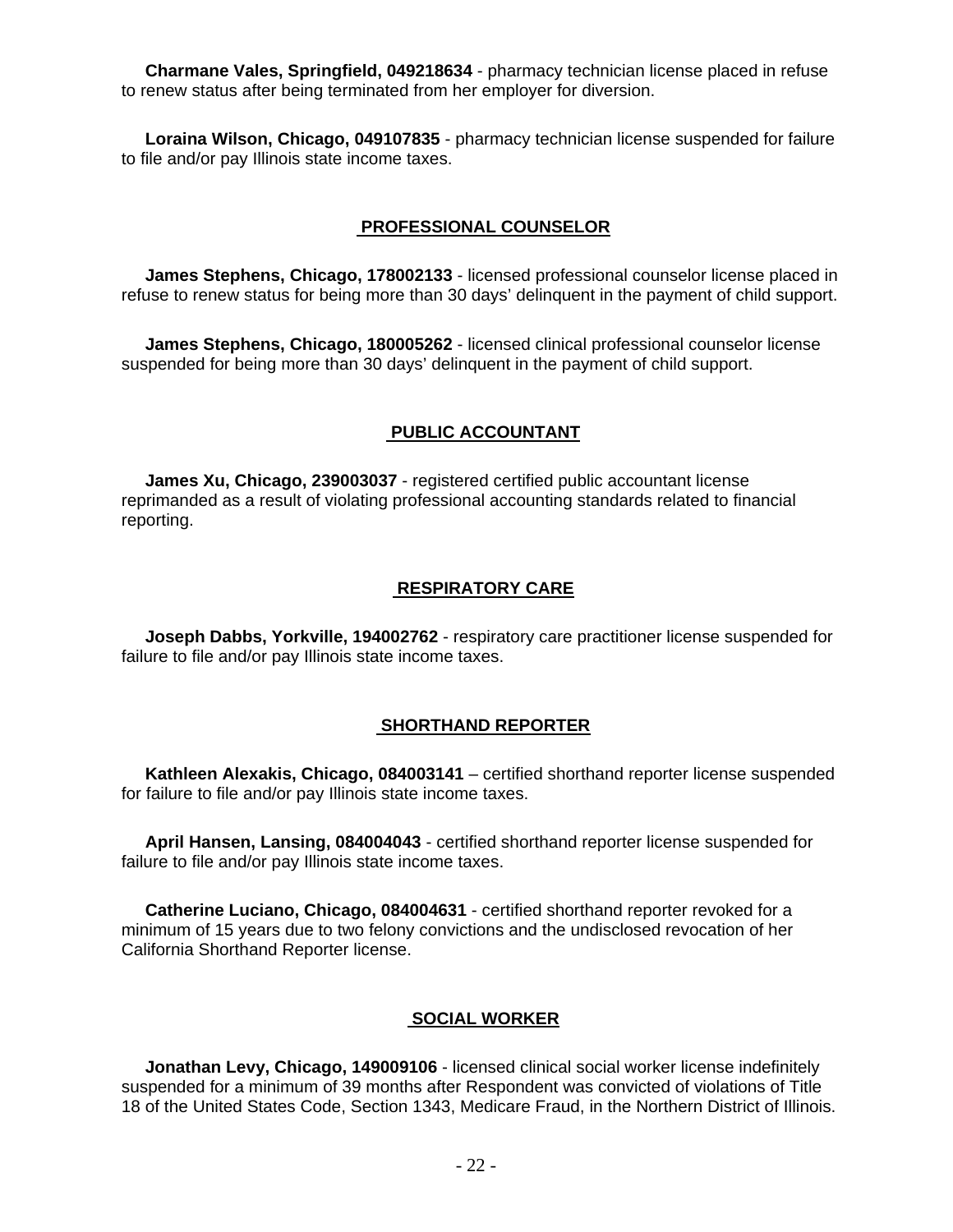**Charmane Vales, Springfield, 049218634** - pharmacy technician license placed in refuse to renew status after being terminated from her employer for diversion.

 **Loraina Wilson, Chicago, 049107835** - pharmacy technician license suspended for failure to file and/or pay Illinois state income taxes.

## **PROFESSIONAL COUNSELOR**

 **James Stephens, Chicago, 178002133** - licensed professional counselor license placed in refuse to renew status for being more than 30 days' delinquent in the payment of child support.

 **James Stephens, Chicago, 180005262** - licensed clinical professional counselor license suspended for being more than 30 days' delinquent in the payment of child support.

#### **PUBLIC ACCOUNTANT**

 **James Xu, Chicago, 239003037** - registered certified public accountant license reprimanded as a result of violating professional accounting standards related to financial reporting.

## **RESPIRATORY CARE**

 **Joseph Dabbs, Yorkville, 194002762** - respiratory care practitioner license suspended for failure to file and/or pay Illinois state income taxes.

#### **SHORTHAND REPORTER**

 **Kathleen Alexakis, Chicago, 084003141** – certified shorthand reporter license suspended for failure to file and/or pay Illinois state income taxes.

 **April Hansen, Lansing, 084004043** - certified shorthand reporter license suspended for failure to file and/or pay Illinois state income taxes.

 **Catherine Luciano, Chicago, 084004631** - certified shorthand reporter revoked for a minimum of 15 years due to two felony convictions and the undisclosed revocation of her California Shorthand Reporter license.

## **SOCIAL WORKER**

 **Jonathan Levy, Chicago, 149009106** - licensed clinical social worker license indefinitely suspended for a minimum of 39 months after Respondent was convicted of violations of Title 18 of the United States Code, Section 1343, Medicare Fraud, in the Northern District of Illinois.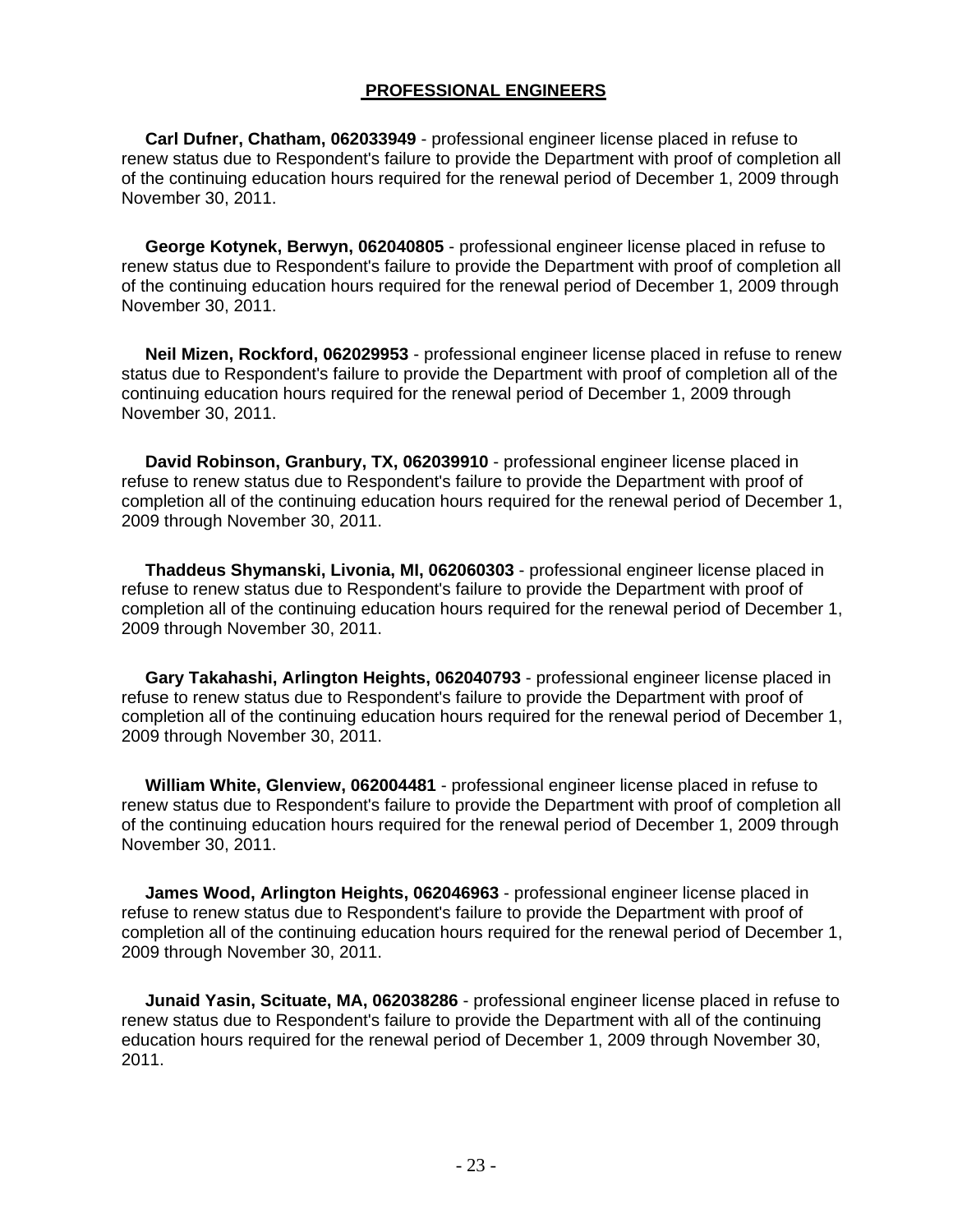## **PROFESSIONAL ENGINEERS**

 **Carl Dufner, Chatham, 062033949** - professional engineer license placed in refuse to renew status due to Respondent's failure to provide the Department with proof of completion all of the continuing education hours required for the renewal period of December 1, 2009 through November 30, 2011.

 **George Kotynek, Berwyn, 062040805** - professional engineer license placed in refuse to renew status due to Respondent's failure to provide the Department with proof of completion all of the continuing education hours required for the renewal period of December 1, 2009 through November 30, 2011.

 **Neil Mizen, Rockford, 062029953** - professional engineer license placed in refuse to renew status due to Respondent's failure to provide the Department with proof of completion all of the continuing education hours required for the renewal period of December 1, 2009 through November 30, 2011.

 **David Robinson, Granbury, TX, 062039910** - professional engineer license placed in refuse to renew status due to Respondent's failure to provide the Department with proof of completion all of the continuing education hours required for the renewal period of December 1, 2009 through November 30, 2011.

 **Thaddeus Shymanski, Livonia, MI, 062060303** - professional engineer license placed in refuse to renew status due to Respondent's failure to provide the Department with proof of completion all of the continuing education hours required for the renewal period of December 1, 2009 through November 30, 2011.

 **Gary Takahashi, Arlington Heights, 062040793** - professional engineer license placed in refuse to renew status due to Respondent's failure to provide the Department with proof of completion all of the continuing education hours required for the renewal period of December 1, 2009 through November 30, 2011.

 **William White, Glenview, 062004481** - professional engineer license placed in refuse to renew status due to Respondent's failure to provide the Department with proof of completion all of the continuing education hours required for the renewal period of December 1, 2009 through November 30, 2011.

 **James Wood, Arlington Heights, 062046963** - professional engineer license placed in refuse to renew status due to Respondent's failure to provide the Department with proof of completion all of the continuing education hours required for the renewal period of December 1, 2009 through November 30, 2011.

 **Junaid Yasin, Scituate, MA, 062038286** - professional engineer license placed in refuse to renew status due to Respondent's failure to provide the Department with all of the continuing education hours required for the renewal period of December 1, 2009 through November 30, 2011.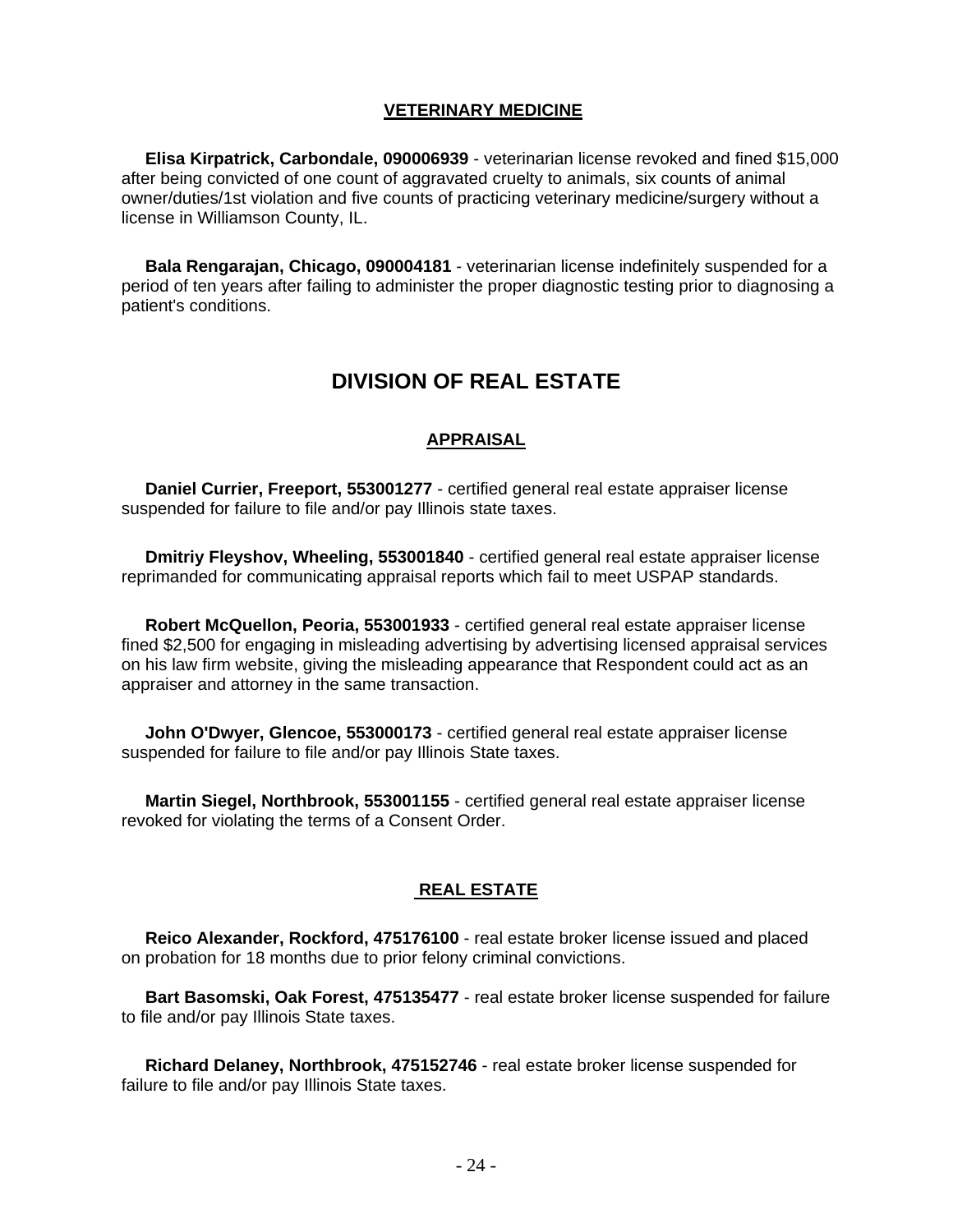## **VETERINARY MEDICINE**

 **Elisa Kirpatrick, Carbondale, 090006939** - veterinarian license revoked and fined \$15,000 after being convicted of one count of aggravated cruelty to animals, six counts of animal owner/duties/1st violation and five counts of practicing veterinary medicine/surgery without a license in Williamson County, IL.

 **Bala Rengarajan, Chicago, 090004181** - veterinarian license indefinitely suspended for a period of ten years after failing to administer the proper diagnostic testing prior to diagnosing a patient's conditions.

## **DIVISION OF REAL ESTATE**

## **APPRAISAL**

 **Daniel Currier, Freeport, 553001277** - certified general real estate appraiser license suspended for failure to file and/or pay Illinois state taxes.

 **Dmitriy Fleyshov, Wheeling, 553001840** - certified general real estate appraiser license reprimanded for communicating appraisal reports which fail to meet USPAP standards.

 **Robert McQuellon, Peoria, 553001933** - certified general real estate appraiser license fined \$2,500 for engaging in misleading advertising by advertising licensed appraisal services on his law firm website, giving the misleading appearance that Respondent could act as an appraiser and attorney in the same transaction.

 **John O'Dwyer, Glencoe, 553000173** - certified general real estate appraiser license suspended for failure to file and/or pay Illinois State taxes.

 **Martin Siegel, Northbrook, 553001155** - certified general real estate appraiser license revoked for violating the terms of a Consent Order.

## **REAL ESTATE**

 **Reico Alexander, Rockford, 475176100** - real estate broker license issued and placed on probation for 18 months due to prior felony criminal convictions.

 **Bart Basomski, Oak Forest, 475135477** - real estate broker license suspended for failure to file and/or pay Illinois State taxes.

 **Richard Delaney, Northbrook, 475152746** - real estate broker license suspended for failure to file and/or pay Illinois State taxes.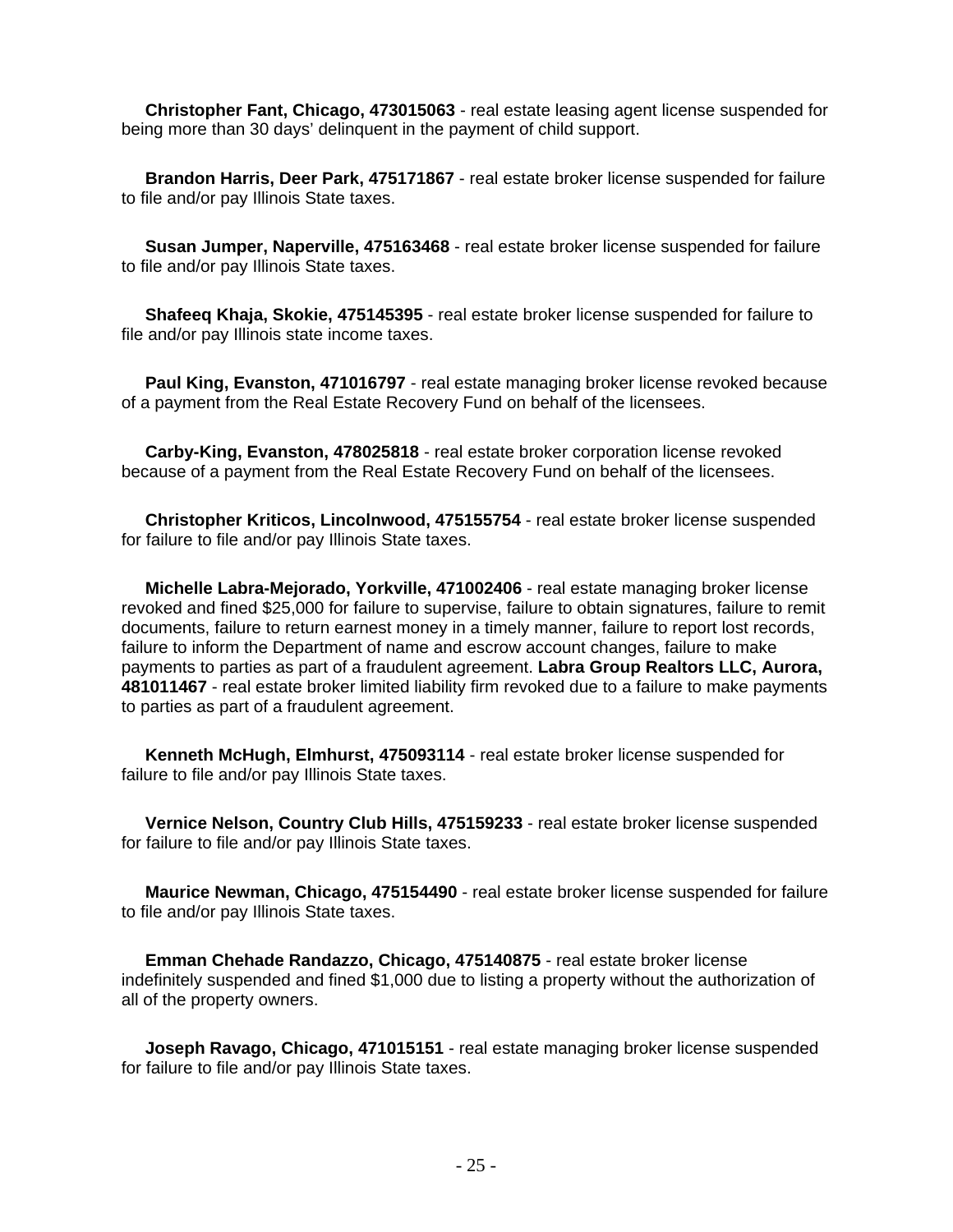**Christopher Fant, Chicago, 473015063** - real estate leasing agent license suspended for being more than 30 days' delinquent in the payment of child support.

 **Brandon Harris, Deer Park, 475171867** - real estate broker license suspended for failure to file and/or pay Illinois State taxes.

 **Susan Jumper, Naperville, 475163468** - real estate broker license suspended for failure to file and/or pay Illinois State taxes.

 **Shafeeq Khaja, Skokie, 475145395** - real estate broker license suspended for failure to file and/or pay Illinois state income taxes.

 **Paul King, Evanston, 471016797** - real estate managing broker license revoked because of a payment from the Real Estate Recovery Fund on behalf of the licensees.

 **Carby-King, Evanston, 478025818** - real estate broker corporation license revoked because of a payment from the Real Estate Recovery Fund on behalf of the licensees.

 **Christopher Kriticos, Lincolnwood, 475155754** - real estate broker license suspended for failure to file and/or pay Illinois State taxes.

 **Michelle Labra-Mejorado, Yorkville, 471002406** - real estate managing broker license revoked and fined \$25,000 for failure to supervise, failure to obtain signatures, failure to remit documents, failure to return earnest money in a timely manner, failure to report lost records, failure to inform the Department of name and escrow account changes, failure to make payments to parties as part of a fraudulent agreement. **Labra Group Realtors LLC, Aurora, 481011467** - real estate broker limited liability firm revoked due to a failure to make payments to parties as part of a fraudulent agreement.

 **Kenneth McHugh, Elmhurst, 475093114** - real estate broker license suspended for failure to file and/or pay Illinois State taxes.

 **Vernice Nelson, Country Club Hills, 475159233** - real estate broker license suspended for failure to file and/or pay Illinois State taxes.

 **Maurice Newman, Chicago, 475154490** - real estate broker license suspended for failure to file and/or pay Illinois State taxes.

 **Emman Chehade Randazzo, Chicago, 475140875** - real estate broker license indefinitely suspended and fined \$1,000 due to listing a property without the authorization of all of the property owners.

 **Joseph Ravago, Chicago, 471015151** - real estate managing broker license suspended for failure to file and/or pay Illinois State taxes.